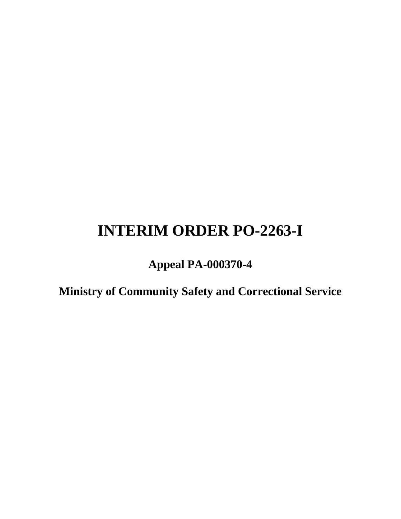# **INTERIM ORDER PO-2263-I**

**Appeal PA-000370-4** 

**Ministry of Community Safety and Correctional Service**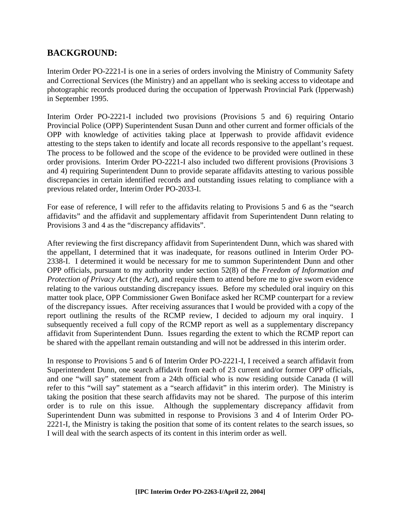# **BACKGROUND:**

Interim Order PO-2221-I is one in a series of orders involving the Ministry of Community Safety and Correctional Services (the Ministry) and an appellant who is seeking access to videotape and photographic records produced during the occupation of Ipperwash Provincial Park (Ipperwash) in September 1995.

Interim Order PO-2221-I included two provisions (Provisions 5 and 6) requiring Ontario Provincial Police (OPP) Superintendent Susan Dunn and other current and former officials of the OPP with knowledge of activities taking place at Ipperwash to provide affidavit evidence attesting to the steps taken to identify and locate all records responsive to the appellant's request. The process to be followed and the scope of the evidence to be provided were outlined in these order provisions. Interim Order PO-2221-I also included two different provisions (Provisions 3 and 4) requiring Superintendent Dunn to provide separate affidavits attesting to various possible discrepancies in certain identified records and outstanding issues relating to compliance with a previous related order, Interim Order PO-2033-I.

For ease of reference, I will refer to the affidavits relating to Provisions 5 and 6 as the "search affidavits" and the affidavit and supplementary affidavit from Superintendent Dunn relating to Provisions 3 and 4 as the "discrepancy affidavits".

After reviewing the first discrepancy affidavit from Superintendent Dunn, which was shared with the appellant, I determined that it was inadequate, for reasons outlined in Interim Order PO-2338-I. I determined it would be necessary for me to summon Superintendent Dunn and other OPP officials, pursuant to my authority under section 52(8) of the *Freedom of Information and Protection of Privacy Act* (the *Act*), and require them to attend before me to give sworn evidence relating to the various outstanding discrepancy issues. Before my scheduled oral inquiry on this matter took place, OPP Commissioner Gwen Boniface asked her RCMP counterpart for a review of the discrepancy issues. After receiving assurances that I would be provided with a copy of the report outlining the results of the RCMP review, I decided to adjourn my oral inquiry. I subsequently received a full copy of the RCMP report as well as a supplementary discrepancy affidavit from Superintendent Dunn. Issues regarding the extent to which the RCMP report can be shared with the appellant remain outstanding and will not be addressed in this interim order.

In response to Provisions 5 and 6 of Interim Order PO-2221-I, I received a search affidavit from Superintendent Dunn, one search affidavit from each of 23 current and/or former OPP officials, and one "will say" statement from a 24th official who is now residing outside Canada (I will refer to this "will say" statement as a "search affidavit" in this interim order). The Ministry is taking the position that these search affidavits may not be shared. The purpose of this interim order is to rule on this issue. Although the supplementary discrepancy affidavit from Superintendent Dunn was submitted in response to Provisions 3 and 4 of Interim Order PO-2221-I, the Ministry is taking the position that some of its content relates to the search issues, so I will deal with the search aspects of its content in this interim order as well.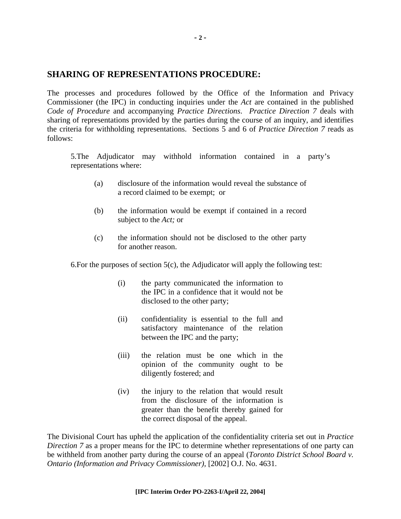# **SHARING OF REPRESENTATIONS PROCEDURE:**

The processes and procedures followed by the Office of the Information and Privacy Commissioner (the IPC) in conducting inquiries under the *Act* are contained in the published *Code of Procedure* and accompanying *Practice Directions*. *Practice Direction 7* deals with sharing of representations provided by the parties during the course of an inquiry, and identifies the criteria for withholding representations. Sections 5 and 6 of *Practice Direction 7* reads as follows:

5.The Adjudicator may withhold information contained in a party's representations where:

- (a) disclosure of the information would reveal the substance of a record claimed to be exempt; or
- (b) the information would be exempt if contained in a record subject to the *Act;* or
- (c) the information should not be disclosed to the other party for another reason.

6. For the purposes of section  $5(c)$ , the Adjudicator will apply the following test:

- (i) the party communicated the information to the IPC in a confidence that it would not be disclosed to the other party;
- (ii) confidentiality is essential to the full and satisfactory maintenance of the relation between the IPC and the party;
- (iii) the relation must be one which in the opinion of the community ought to be diligently fostered; and
- (iv) the injury to the relation that would result from the disclosure of the information is greater than the benefit thereby gained for the correct disposal of the appeal.

The Divisional Court has upheld the application of the confidentiality criteria set out in *Practice Direction* 7 as a proper means for the IPC to determine whether representations of one party can be withheld from another party during the course of an appeal (*Toronto District School Board v. Ontario (Information and Privacy Commissioner),* [2002] O.J. No. 4631.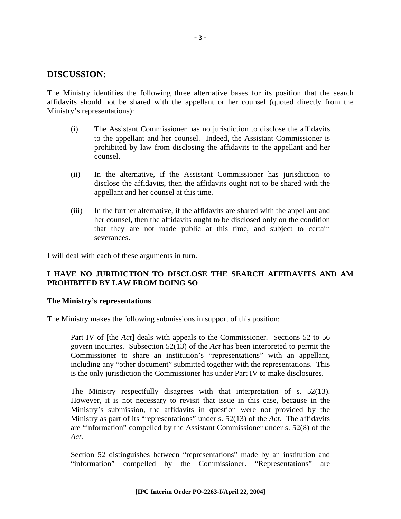# **DISCUSSION:**

The Ministry identifies the following three alternative bases for its position that the search affidavits should not be shared with the appellant or her counsel (quoted directly from the Ministry's representations):

- (i) The Assistant Commissioner has no jurisdiction to disclose the affidavits to the appellant and her counsel. Indeed, the Assistant Commissioner is prohibited by law from disclosing the affidavits to the appellant and her counsel.
- (ii) In the alternative, if the Assistant Commissioner has jurisdiction to disclose the affidavits, then the affidavits ought not to be shared with the appellant and her counsel at this time.
- (iii) In the further alternative, if the affidavits are shared with the appellant and her counsel, then the affidavits ought to be disclosed only on the condition that they are not made public at this time, and subject to certain severances.

I will deal with each of these arguments in turn.

## **I HAVE NO JURIDICTION TO DISCLOSE THE SEARCH AFFIDAVITS AND AM PROHIBITED BY LAW FROM DOING SO**

#### **The Ministry's representations**

The Ministry makes the following submissions in support of this position:

Part IV of [the *Act*] deals with appeals to the Commissioner. Sections 52 to 56 govern inquiries. Subsection 52(13) of the *Act* has been interpreted to permit the Commissioner to share an institution's "representations" with an appellant, including any "other document" submitted together with the representations. This is the only jurisdiction the Commissioner has under Part IV to make disclosures.

The Ministry respectfully disagrees with that interpretation of s. 52(13). However, it is not necessary to revisit that issue in this case, because in the Ministry's submission, the affidavits in question were not provided by the Ministry as part of its "representations" under s. 52(13) of the *Act.* The affidavits are "information" compelled by the Assistant Commissioner under s. 52(8) of the *Act*.

Section 52 distinguishes between "representations" made by an institution and "information" compelled by the Commissioner. "Representations" are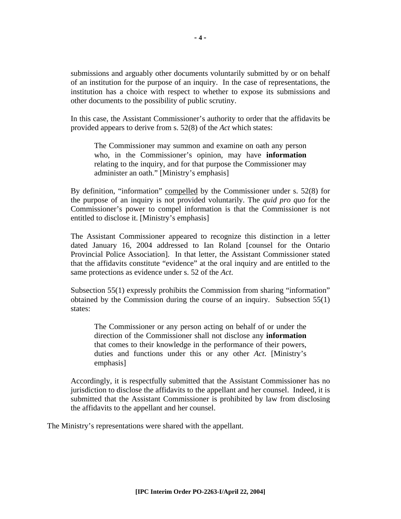submissions and arguably other documents voluntarily submitted by or on behalf of an institution for the purpose of an inquiry. In the case of representations, the institution has a choice with respect to whether to expose its submissions and other documents to the possibility of public scrutiny.

In this case, the Assistant Commissioner's authority to order that the affidavits be provided appears to derive from s. 52(8) of the *Act* which states:

The Commissioner may summon and examine on oath any person who, in the Commissioner's opinion, may have **information** relating to the inquiry, and for that purpose the Commissioner may administer an oath." [Ministry's emphasis]

By definition, "information" compelled by the Commissioner under s. 52(8) for the purpose of an inquiry is not provided voluntarily. The *quid pro quo* for the Commissioner's power to compel information is that the Commissioner is not entitled to disclose it. [Ministry's emphasis]

The Assistant Commissioner appeared to recognize this distinction in a letter dated January 16, 2004 addressed to Ian Roland [counsel for the Ontario Provincial Police Association]. In that letter, the Assistant Commissioner stated that the affidavits constitute "evidence" at the oral inquiry and are entitled to the same protections as evidence under s. 52 of the *Act*.

Subsection 55(1) expressly prohibits the Commission from sharing "information" obtained by the Commission during the course of an inquiry. Subsection 55(1) states:

The Commissioner or any person acting on behalf of or under the direction of the Commissioner shall not disclose any **information** that comes to their knowledge in the performance of their powers, duties and functions under this or any other *Act*. [Ministry's emphasis]

Accordingly, it is respectfully submitted that the Assistant Commissioner has no jurisdiction to disclose the affidavits to the appellant and her counsel. Indeed, it is submitted that the Assistant Commissioner is prohibited by law from disclosing the affidavits to the appellant and her counsel.

The Ministry's representations were shared with the appellant.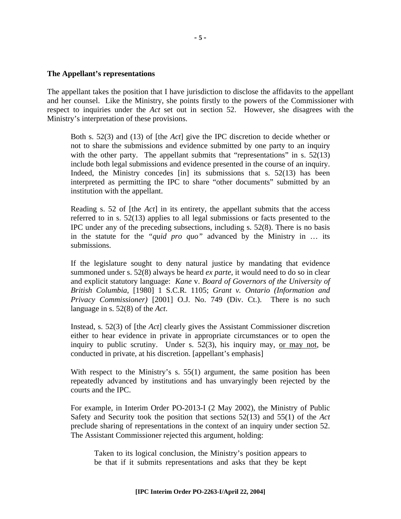#### **The Appellant's representations**

The appellant takes the position that I have jurisdiction to disclose the affidavits to the appellant and her counsel. Like the Ministry, she points firstly to the powers of the Commissioner with respect to inquiries under the *Act* set out in section 52. However, she disagrees with the Ministry's interpretation of these provisions.

Both s. 52(3) and (13) of [the *Act*] give the IPC discretion to decide whether or not to share the submissions and evidence submitted by one party to an inquiry with the other party. The appellant submits that "representations" in s. 52(13) include both legal submissions and evidence presented in the course of an inquiry. Indeed, the Ministry concedes [in] its submissions that s. 52(13) has been interpreted as permitting the IPC to share "other documents" submitted by an institution with the appellant.

Reading s. 52 of [the *Act*] in its entirety, the appellant submits that the access referred to in s. 52(13) applies to all legal submissions or facts presented to the IPC under any of the preceding subsections, including s. 52(8). There is no basis in the statute for the *"quid pro quo"* advanced by the Ministry in … its submissions.

If the legislature sought to deny natural justice by mandating that evidence summoned under s. 52(8) always be heard *ex parte,* it would need to do so in clear and explicit statutory language: *Kane* v. *Board of Governors of the University of British Columbia*, [1980] 1 S.C.R. 1105; *Grant v. Ontario (Information and Privacy Commissioner)* [2001] O.J. No. 749 (Div. Ct.). There is no such language in s. 52(8) of the *Act*.

Instead, s. 52(3) of [the *Act*] clearly gives the Assistant Commissioner discretion either to hear evidence in private in appropriate circumstances or to open the inquiry to public scrutiny. Under s.  $52(3)$ , his inquiry may, or may not, be conducted in private, at his discretion. [appellant's emphasis]

With respect to the Ministry's s.  $55(1)$  argument, the same position has been repeatedly advanced by institutions and has unvaryingly been rejected by the courts and the IPC.

For example, in Interim Order PO-2013-I (2 May 2002), the Ministry of Public Safety and Security took the position that sections 52(13) and 55(1) of the *Act* preclude sharing of representations in the context of an inquiry under section 52. The Assistant Commissioner rejected this argument, holding:

Taken to its logical conclusion, the Ministry's position appears to be that if it submits representations and asks that they be kept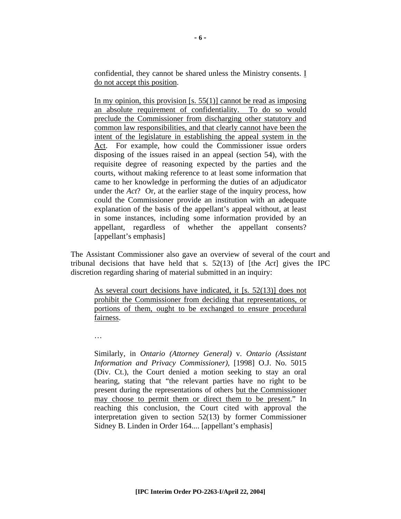confidential, they cannot be shared unless the Ministry consents. I do not accept this position.

In my opinion, this provision [s.  $55(1)$ ] cannot be read as imposing an absolute requirement of confidentiality. To do so would preclude the Commissioner from discharging other statutory and common law responsibilities, and that clearly cannot have been the intent of the legislature in establishing the appeal system in the Act. For example, how could the Commissioner issue orders disposing of the issues raised in an appeal (section 54), with the requisite degree of reasoning expected by the parties and the courts, without making reference to at least some information that came to her knowledge in performing the duties of an adjudicator under the *Act*? Or, at the earlier stage of the inquiry process, how could the Commissioner provide an institution with an adequate explanation of the basis of the appellant's appeal without, at least in some instances, including some information provided by an appellant, regardless of whether the appellant consents? [appellant's emphasis]

The Assistant Commissioner also gave an overview of several of the court and tribunal decisions that have held that s. 52(13) of [the *Act*] gives the IPC discretion regarding sharing of material submitted in an inquiry:

As several court decisions have indicated, it [s. 52(13)] does not prohibit the Commissioner from deciding that representations, or portions of them, ought to be exchanged to ensure procedural fairness.

…

Similarly, in *Ontario (Attorney General)* v. *Ontario (Assistant Information and Privacy Commissioner),* [1998] O.J. No. 5015 (Div. Ct.), the Court denied a motion seeking to stay an oral hearing, stating that "the relevant parties have no right to be present during the representations of others but the Commissioner may choose to permit them or direct them to be present." In reaching this conclusion, the Court cited with approval the interpretation given to section 52(13) by former Commissioner Sidney B. Linden in Order 164.... [appellant's emphasis]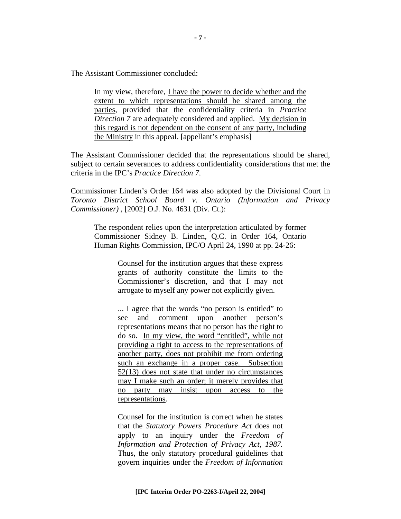The Assistant Commissioner concluded:

In my view, therefore, I have the power to decide whether and the extent to which representations should be shared among the parties, provided that the confidentiality criteria in *Practice Direction 7* are adequately considered and applied. My decision in this regard is not dependent on the consent of any party, including the Ministry in this appeal. [appellant's emphasis]

The Assistant Commissioner decided that the representations should be shared, subject to certain severances to address confidentiality considerations that met the criteria in the IPC's *Practice Direction 7*.

Commissioner Linden's Order 164 was also adopted by the Divisional Court in *Toronto District School Board v. Ontario (Information and Privacy Commissioner) ,* [2002] O.J. No. 4631 (Div. Ct.):

The respondent relies upon the interpretation articulated by former Commissioner Sidney B. Linden, Q.C. in Order 164, Ontario Human Rights Commission, IPC/O April 24, 1990 at pp. 24-26:

> Counsel for the institution argues that these express grants of authority constitute the limits to the Commissioner's discretion, and that I may not arrogate to myself any power not explicitly given.

> ... I agree that the words "no person is entitled" to see and comment upon another person's representations means that no person has the right to do so. In my view, the word "entitled", while not providing a right to access to the representations of another party, does not prohibit me from ordering such an exchange in a proper case. Subsection 52(13) does not state that under no circumstances may I make such an order; it merely provides that no party may insist upon access to the representations.

> Counsel for the institution is correct when he states that the *Statutory Powers Procedure Act* does not apply to an inquiry under the *Freedom of Information and Protection of Privacy Act, 1987.*  Thus, the only statutory procedural guidelines that govern inquiries under the *Freedom of Information*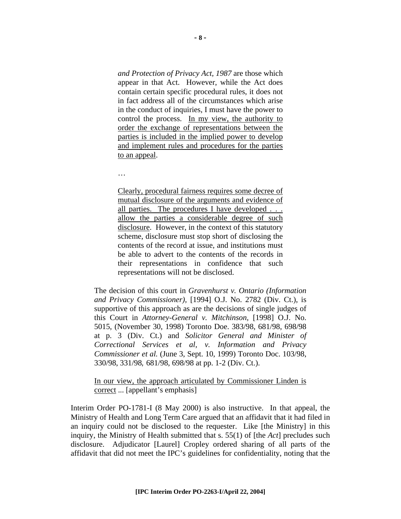*and Protection of Privacy Act, 1987* are those which appear in that Act. However, while the Act does contain certain specific procedural rules, it does not in fact address all of the circumstances which arise in the conduct of inquiries, I must have the power to control the process. In my view, the authority to order the exchange of representations between the parties is included in the implied power to develop and implement rules and procedures for the parties to an appeal.

…

Clearly, procedural fairness requires some decree of mutual disclosure of the arguments and evidence of all parties. The procedures I have developed . . . allow the parties a considerable degree of such disclosure. However, in the context of this statutory scheme, disclosure must stop short of disclosing the contents of the record at issue, and institutions must be able to advert to the contents of the records in their representations in confidence that such representations will not be disclosed.

The decision of this court in *Gravenhurst v. Ontario (Information and Privacy Commissioner),* [1994] O.J. No. 2782 (Div. Ct.), is supportive of this approach as are the decisions of single judges of this Court in *Attorney-General v. Mitchinson,* [1998] O.J. No. 5015, (November 30, 1998) Toronto Doe. 383/98, 681/98, 698/98 at p. 3 (Div. Ct.) and *Solicitor General and Minister of Correctional Services et al, v. Information and Privacy Commissioner et al.* (June 3, Sept. 10, 1999) Toronto Doc. 103/98, 330/98, 331/98*,* 681/98, 698/98 at pp. 1-2 (Div. Ct.).

In our view, the approach articulated by Commissioner Linden is correct ... [appellant's emphasis]

Interim Order PO-1781-I (8 May 2000) is also instructive. In that appeal, the Ministry of Health and Long Term Care argued that an affidavit that it had filed in an inquiry could not be disclosed to the requester. Like [the Ministry] in this inquiry, the Ministry of Health submitted that s. 55(1) of [the *Act*] precludes such disclosure. Adjudicator [Laurel] Cropley ordered sharing of all parts of the affidavit that did not meet the IPC's guidelines for confidentiality, noting that the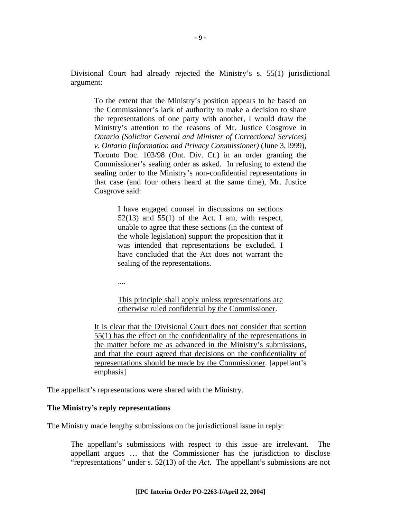Divisional Court had already rejected the Ministry's s. 55(1) jurisdictional argument:

To the extent that the Ministry's position appears to be based on the Commissioner's lack of authority to make a decision to share the representations of one party with another, I would draw the Ministry's attention to the reasons of Mr. Justice Cosgrove in *Ontario (Solicitor General and Minister of Correctional Services) v. Ontario (Information and Privacy Commissioner)* (June 3, l999), Toronto Doc. 103/98 (Ont. Div. Ct.) in an order granting the Commissioner's sealing order as asked. In refusing to extend the sealing order to the Ministry's non-confidential representations in that case (and four others heard at the same time), Mr. Justice Cosgrove said:

> I have engaged counsel in discussions on sections  $52(13)$  and  $55(1)$  of the Act. I am, with respect, unable to agree that these sections (in the context of the whole legislation) support the proposition that it was intended that representations be excluded. I have concluded that the Act does not warrant the sealing of the representations.

....

This principle shall apply unless representations are otherwise ruled confidential by the Commissioner.

It is clear that the Divisional Court does not consider that section 55(1) has the effect on the confidentiality of the representations in the matter before me as advanced in the Ministry's submissions, and that the court agreed that decisions on the confidentiality of representations should be made by the Commissioner. [appellant's emphasis]

The appellant's representations were shared with the Ministry.

#### **The Ministry's reply representations**

The Ministry made lengthy submissions on the jurisdictional issue in reply:

The appellant's submissions with respect to this issue are irrelevant. The appellant argues … that the Commissioner has the jurisdiction to disclose "representations" under s. 52(13) of the *Act*. The appellant's submissions are not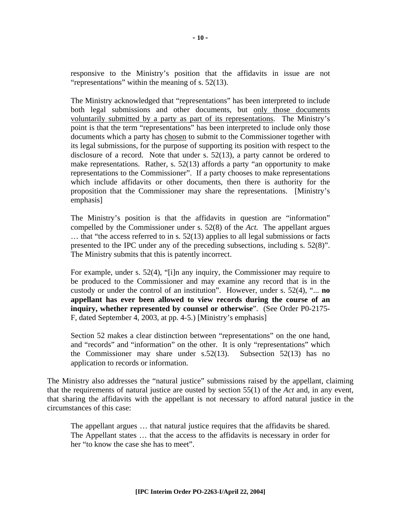responsive to the Ministry's position that the affidavits in issue are not "representations" within the meaning of s. 52(13).

The Ministry acknowledged that "representations" has been interpreted to include both legal submissions and other documents, but only those documents voluntarily submitted by a party as part of its representations. The Ministry's point is that the term "representations" has been interpreted to include only those documents which a party has chosen to submit to the Commissioner together with its legal submissions, for the purpose of supporting its position with respect to the disclosure of a record. Note that under s. 52(13), a party cannot be ordered to make representations. Rather, s. 52(13) affords a party "an opportunity to make representations to the Commissioner". If a party chooses to make representations which include affidavits or other documents, then there is authority for the proposition that the Commissioner may share the representations. [Ministry's emphasis]

The Ministry's position is that the affidavits in question are "information" compelled by the Commissioner under s. 52(8) of the *Act.* The appellant argues … that "the access referred to in s. 52(13) applies to all legal submissions or facts presented to the IPC under any of the preceding subsections, including s. 52(8)". The Ministry submits that this is patently incorrect.

For example, under s. 52(4), "[i]n any inquiry, the Commissioner may require to be produced to the Commissioner and may examine any record that is in the custody or under the control of an institution". However, under s. 52(4), "... **no appellant has ever been allowed to view records during the course of an inquiry, whether represented by counsel or otherwise**". (See Order P0-2175- F, dated September 4, 2003, at pp. 4-5.) [Ministry's emphasis]

Section 52 makes a clear distinction between "representations" on the one hand, and "records" and "information" on the other. It is only "representations" which the Commissioner may share under s.52(13). Subsection 52(13) has no application to records or information.

The Ministry also addresses the "natural justice" submissions raised by the appellant, claiming that the requirements of natural justice are ousted by section 55(1) of the *Act* and, in any event, that sharing the affidavits with the appellant is not necessary to afford natural justice in the circumstances of this case:

The appellant argues … that natural justice requires that the affidavits be shared. The Appellant states … that the access to the affidavits is necessary in order for her "to know the case she has to meet".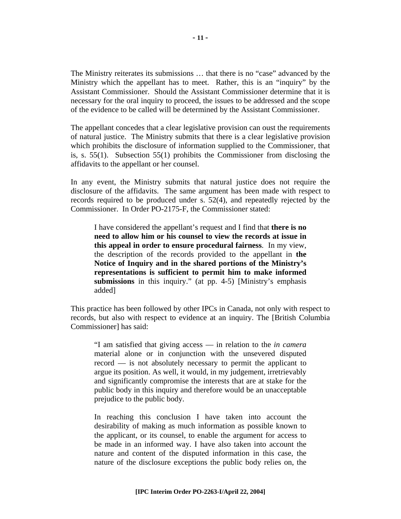The Ministry reiterates its submissions … that there is no "case" advanced by the Ministry which the appellant has to meet. Rather, this is an "inquiry" by the Assistant Commissioner. Should the Assistant Commissioner determine that it is necessary for the oral inquiry to proceed, the issues to be addressed and the scope of the evidence to be called will be determined by the Assistant Commissioner.

The appellant concedes that a clear legislative provision can oust the requirements of natural justice. The Ministry submits that there is a clear legislative provision which prohibits the disclosure of information supplied to the Commissioner, that is, s. 55(1). Subsection 55(1) prohibits the Commissioner from disclosing the affidavits to the appellant or her counsel.

In any event, the Ministry submits that natural justice does not require the disclosure of the affidavits. The same argument has been made with respect to records required to be produced under s. 52(4), and repeatedly rejected by the Commissioner. In Order PO-2175-F, the Commissioner stated:

I have considered the appellant's request and I find that **there is no need to allow him or his counsel to view the records at issue in this appeal in order to ensure procedural fairness**. In my view, the description of the records provided to the appellant in **the Notice of Inquiry and in the shared portions of the Ministry's representations is sufficient to permit him to make informed submissions** in this inquiry." (at pp. 4-5) [Ministry's emphasis added]

This practice has been followed by other IPCs in Canada, not only with respect to records, but also with respect to evidence at an inquiry. The [British Columbia Commissioner] has said:

"I am satisfied that giving access — in relation to the *in camera*  material alone or in conjunction with the unsevered disputed record — is not absolutely necessary to permit the applicant to argue its position. As well, it would, in my judgement, irretrievably and significantly compromise the interests that are at stake for the public body in this inquiry and therefore would be an unacceptable prejudice to the public body.

In reaching this conclusion I have taken into account the desirability of making as much information as possible known to the applicant, or its counsel, to enable the argument for access to be made in an informed way. I have also taken into account the nature and content of the disputed information in this case, the nature of the disclosure exceptions the public body relies on, the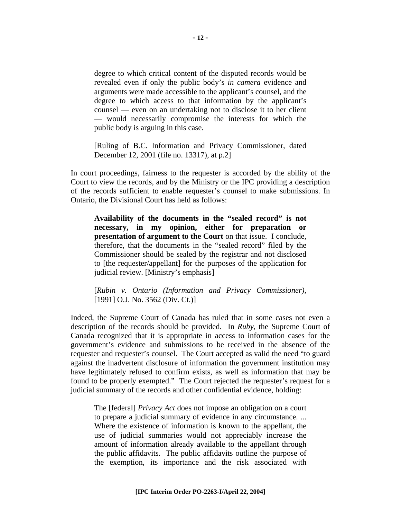degree to which critical content of the disputed records would be revealed even if only the public body's *in camera* evidence and arguments were made accessible to the applicant's counsel, and the degree to which access to that information by the applicant's counsel — even on an undertaking not to disclose it to her client — would necessarily compromise the interests for which the public body is arguing in this case.

[Ruling of B.C. Information and Privacy Commissioner, dated December 12, 2001 (file no. 13317), at p.2]

In court proceedings, fairness to the requester is accorded by the ability of the Court to view the records, and by the Ministry or the IPC providing a description of the records sufficient to enable requester's counsel to make submissions. In Ontario, the Divisional Court has held as follows:

**Availability of the documents in the "sealed record" is not necessary, in my opinion, either for preparation or presentation of argument to the Court** on that issue. I conclude, therefore, that the documents in the "sealed record" filed by the Commissioner should be sealed by the registrar and not disclosed to [the requester/appellant] for the purposes of the application for judicial review. [Ministry's emphasis]

[*Rubin v. Ontario (Information and Privacy Commissioner)*, [1991] O.J. No. 3562 (Div. Ct.)]

Indeed, the Supreme Court of Canada has ruled that in some cases not even a description of the records should be provided. In *Ruby,* the Supreme Court of Canada recognized that it is appropriate in access to information cases for the government's evidence and submissions to be received in the absence of the requester and requester's counsel. The Court accepted as valid the need "to guard against the inadvertent disclosure of information the government institution may have legitimately refused to confirm exists, as well as information that may be found to be properly exempted." The Court rejected the requester's request for a judicial summary of the records and other confidential evidence, holding:

The [federal] *Privacy Act* does not impose an obligation on a court to prepare a judicial summary of evidence in any circumstance. ... Where the existence of information is known to the appellant, the use of judicial summaries would not appreciably increase the amount of information already available to the appellant through the public affidavits. The public affidavits outline the purpose of the exemption, its importance and the risk associated with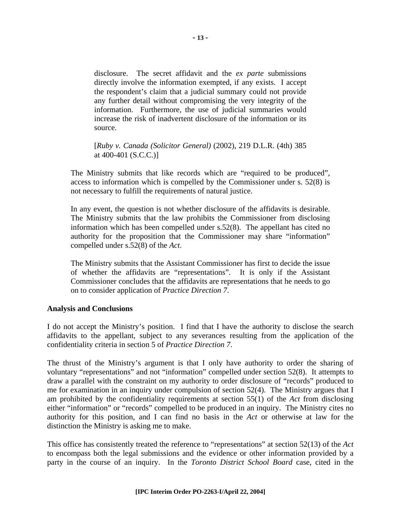disclosure. The secret affidavit and the *ex parte* submissions directly involve the information exempted, if any exists. I accept the respondent's claim that a judicial summary could not provide any further detail without compromising the very integrity of the information. Furthermore, the use of judicial summaries would increase the risk of inadvertent disclosure of the information or its source.

[*Ruby v. Canada (Solicitor General)* (2002), 219 D.L.R. (4th) 385 at 400-401 (S.C.C.)]

The Ministry submits that like records which are "required to be produced", access to information which is compelled by the Commissioner under s. 52(8) is not necessary to fulfill the requirements of natural justice.

In any event, the question is not whether disclosure of the affidavits is desirable. The Ministry submits that the law prohibits the Commissioner from disclosing information which has been compelled under s.52(8). The appellant has cited no authority for the proposition that the Commissioner may share "information" compelled under s.52(8) of the *Act*.

The Ministry submits that the Assistant Commissioner has first to decide the issue of whether the affidavits are "representations". It is only if the Assistant Commissioner concludes that the affidavits are representations that he needs to go on to consider application of *Practice Direction 7*.

## **Analysis and Conclusions**

I do not accept the Ministry's position. I find that I have the authority to disclose the search affidavits to the appellant, subject to any severances resulting from the application of the confidentiality criteria in section 5 of *Practice Direction 7*.

The thrust of the Ministry's argument is that I only have authority to order the sharing of voluntary "representations" and not "information" compelled under section 52(8). It attempts to draw a parallel with the constraint on my authority to order disclosure of "records" produced to me for examination in an inquiry under compulsion of section 52(4). The Ministry argues that I am prohibited by the confidentiality requirements at section 55(1) of the *Act* from disclosing either "information" or "records" compelled to be produced in an inquiry. The Ministry cites no authority for this position, and I can find no basis in the *Act* or otherwise at law for the distinction the Ministry is asking me to make.

This office has consistently treated the reference to "representations" at section 52(13) of the *Act* to encompass both the legal submissions and the evidence or other information provided by a party in the course of an inquiry. In the *Toronto District School Board* case, cited in the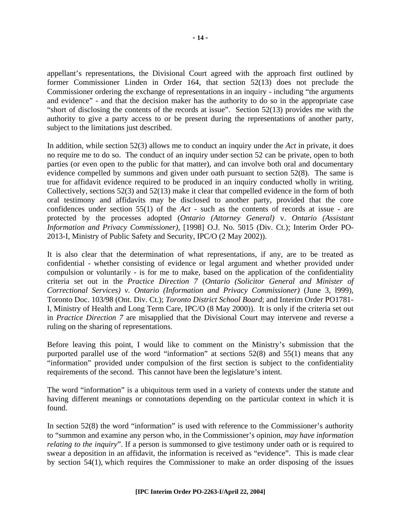appellant's representations, the Divisional Court agreed with the approach first outlined by former Commissioner Linden in Order 164, that section 52(13) does not preclude the Commissioner ordering the exchange of representations in an inquiry - including "the arguments and evidence" - and that the decision maker has the authority to do so in the appropriate case "short of disclosing the contents of the records at issue". Section 52(13) provides me with the authority to give a party access to or be present during the representations of another party, subject to the limitations just described.

In addition, while section 52(3) allows me to conduct an inquiry under the *Act* in private, it does no require me to do so. The conduct of an inquiry under section 52 can be private, open to both parties (or even open to the public for that matter), and can involve both oral and documentary evidence compelled by summons and given under oath pursuant to section 52(8). The same is true for affidavit evidence required to be produced in an inquiry conducted wholly in writing. Collectively, sections 52(3) and 52(13) make it clear that compelled evidence in the form of both oral testimony and affidavits may be disclosed to another party, provided that the core confidences under section 55(1) of the *Act* - such as the contents of records at issue - are protected by the processes adopted (*Ontario (Attorney General)* v. *Ontario (Assistant Information and Privacy Commissioner),* [1998] O.J. No. 5015 (Div. Ct.); Interim Order PO-2013-I, Ministry of Public Safety and Security, IPC/O (2 May 2002)).

It is also clear that the determination of what representations, if any, are to be treated as confidential - whether consisting of evidence or legal argument and whether provided under compulsion or voluntarily - is for me to make, based on the application of the confidentiality criteria set out in the *Practice Direction 7* (*Ontario (Solicitor General and Minister of Correctional Services) v. Ontario (Information and Privacy Commissioner)* (June 3, l999), Toronto Doc. 103/98 (Ont. Div. Ct.); *Toronto District School Board*; and Interim Order PO1781- I, Ministry of Health and Long Term Care, IPC/O (8 May 2000)). It is only if the criteria set out in *Practice Direction 7* are misapplied that the Divisional Court may intervene and reverse a ruling on the sharing of representations.

Before leaving this point, I would like to comment on the Ministry's submission that the purported parallel use of the word "information" at sections 52(8) and 55(1) means that any "information" provided under compulsion of the first section is subject to the confidentiality requirements of the second. This cannot have been the legislature's intent.

The word "information" is a ubiquitous term used in a variety of contexts under the statute and having different meanings or connotations depending on the particular context in which it is found.

In section 52(8) the word "information" is used with reference to the Commissioner's authority to "summon and examine any person who, in the Commissioner's opinion, *may have information relating to the inquiry*". If a person is summonsed to give testimony under oath or is required to swear a deposition in an affidavit, the information is received as "evidence". This is made clear by section 54(1), which requires the Commissioner to make an order disposing of the issues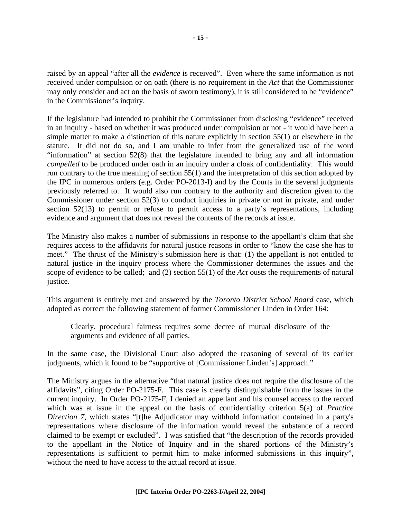raised by an appeal "after all the *evidence* is received". Even where the same information is not received under compulsion or on oath (there is no requirement in the *Act* that the Commissioner may only consider and act on the basis of sworn testimony), it is still considered to be "evidence" in the Commissioner's inquiry.

If the legislature had intended to prohibit the Commissioner from disclosing "evidence" received in an inquiry - based on whether it was produced under compulsion or not - it would have been a simple matter to make a distinction of this nature explicitly in section 55(1) or elsewhere in the statute. It did not do so, and I am unable to infer from the generalized use of the word "information" at section 52(8) that the legislature intended to bring any and all information *compelled* to be produced under oath in an inquiry under a cloak of confidentiality. This would run contrary to the true meaning of section 55(1) and the interpretation of this section adopted by the IPC in numerous orders (e.g. Order PO-2013-I) and by the Courts in the several judgments previously referred to. It would also run contrary to the authority and discretion given to the Commissioner under section 52(3) to conduct inquiries in private or not in private, and under section 52(13) to permit or refuse to permit access to a party's representations, including evidence and argument that does not reveal the contents of the records at issue.

The Ministry also makes a number of submissions in response to the appellant's claim that she requires access to the affidavits for natural justice reasons in order to "know the case she has to meet." The thrust of the Ministry's submission here is that: (1) the appellant is not entitled to natural justice in the inquiry process where the Commissioner determines the issues and the scope of evidence to be called; and (2) section 55(1) of the *Act* ousts the requirements of natural justice.

This argument is entirely met and answered by the *Toronto District School Board* case, which adopted as correct the following statement of former Commissioner Linden in Order 164:

Clearly, procedural fairness requires some decree of mutual disclosure of the arguments and evidence of all parties.

In the same case, the Divisional Court also adopted the reasoning of several of its earlier judgments, which it found to be "supportive of [Commissioner Linden's] approach."

The Ministry argues in the alternative "that natural justice does not require the disclosure of the affidavits", citing Order PO-2175-F. This case is clearly distinguishable from the issues in the current inquiry. In Order PO-2175-F, I denied an appellant and his counsel access to the record which was at issue in the appeal on the basis of confidentiality criterion 5(a) of *Practice Direction 7*, which states "[t]he Adjudicator may withhold information contained in a party's representations where disclosure of the information would reveal the substance of a record claimed to be exempt or excluded". I was satisfied that "the description of the records provided to the appellant in the Notice of Inquiry and in the shared portions of the Ministry's representations is sufficient to permit him to make informed submissions in this inquiry", without the need to have access to the actual record at issue.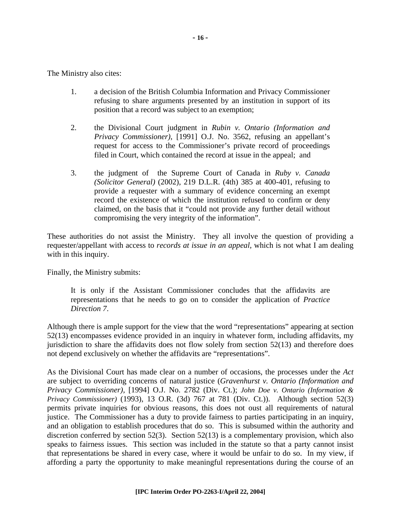The Ministry also cites:

- 1. a decision of the British Columbia Information and Privacy Commissioner refusing to share arguments presented by an institution in support of its position that a record was subject to an exemption;
- 2. the Divisional Court judgment in *Rubin v. Ontario (Information and Privacy Commissioner)*, [1991] O.J. No. 3562, refusing an appellant's request for access to the Commissioner's private record of proceedings filed in Court, which contained the record at issue in the appeal; and
- 3. the judgment of the Supreme Court of Canada in *Ruby v. Canada (Solicitor General)* (2002), 219 D.L.R. (4th) 385 at 400-401, refusing to provide a requester with a summary of evidence concerning an exempt record the existence of which the institution refused to confirm or deny claimed, on the basis that it "could not provide any further detail without compromising the very integrity of the information".

These authorities do not assist the Ministry. They all involve the question of providing a requester/appellant with access to *records at issue in an appeal*, which is not what I am dealing with in this inquiry.

Finally, the Ministry submits:

It is only if the Assistant Commissioner concludes that the affidavits are representations that he needs to go on to consider the application of *Practice Direction 7*.

Although there is ample support for the view that the word "representations" appearing at section 52(13) encompasses evidence provided in an inquiry in whatever form, including affidavits, my jurisdiction to share the affidavits does not flow solely from section 52(13) and therefore does not depend exclusively on whether the affidavits are "representations".

As the Divisional Court has made clear on a number of occasions, the processes under the *Act* are subject to overriding concerns of natural justice (*Gravenhurst v. Ontario (Information and Privacy Commissioner),* [1994] O.J. No. 2782 (Div. Ct.); *John Doe v. Ontario (Information & Privacy Commissioner)* (1993), 13 O.R. (3d) 767 at 781 (Div. Ct.)). Although section 52(3) permits private inquiries for obvious reasons, this does not oust all requirements of natural justice. The Commissioner has a duty to provide fairness to parties participating in an inquiry, and an obligation to establish procedures that do so. This is subsumed within the authority and discretion conferred by section  $52(3)$ . Section  $52(13)$  is a complementary provision, which also speaks to fairness issues. This section was included in the statute so that a party cannot insist that representations be shared in every case, where it would be unfair to do so. In my view, if affording a party the opportunity to make meaningful representations during the course of an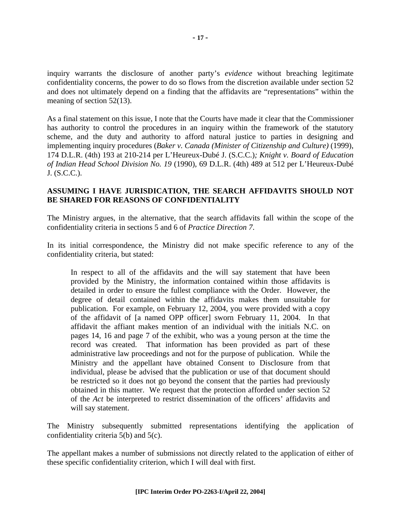inquiry warrants the disclosure of another party's *evidence* without breaching legitimate confidentiality concerns, the power to do so flows from the discretion available under section 52 and does not ultimately depend on a finding that the affidavits are "representations" within the meaning of section 52(13).

As a final statement on this issue, I note that the Courts have made it clear that the Commissioner has authority to control the procedures in an inquiry within the framework of the statutory scheme, and the duty and authority to afford natural justice to parties in designing and implementing inquiry procedures (*Baker v. Canada (Minister of Citizenship and Culture)* (1999), 174 D.L.R. (4th) 193 at 210-214 per L'Heureux-Dubé J. (S.C.C.)*; Knight v. Board of Education of Indian Head School Division No. 19* (1990), 69 D.L.R. (4th) 489 at 512 per L'Heureux-Dubé J. (S.C.C.).

## **ASSUMING I HAVE JURISDICATION, THE SEARCH AFFIDAVITS SHOULD NOT BE SHARED FOR REASONS OF CONFIDENTIALITY**

The Ministry argues, in the alternative, that the search affidavits fall within the scope of the confidentiality criteria in sections 5 and 6 of *Practice Direction 7*.

In its initial correspondence, the Ministry did not make specific reference to any of the confidentiality criteria, but stated:

In respect to all of the affidavits and the will say statement that have been provided by the Ministry, the information contained within those affidavits is detailed in order to ensure the fullest compliance with the Order. However, the degree of detail contained within the affidavits makes them unsuitable for publication. For example, on February 12, 2004, you were provided with a copy of the affidavit of [a named OPP officer] sworn February 11, 2004. In that affidavit the affiant makes mention of an individual with the initials N.C. on pages 14, 16 and page 7 of the exhibit, who was a young person at the time the record was created. That information has been provided as part of these administrative law proceedings and not for the purpose of publication. While the Ministry and the appellant have obtained Consent to Disclosure from that individual, please be advised that the publication or use of that document should be restricted so it does not go beyond the consent that the parties had previously obtained in this matter. We request that the protection afforded under section 52 of the *Act* be interpreted to restrict dissemination of the officers' affidavits and will say statement.

The Ministry subsequently submitted representations identifying the application of confidentiality criteria 5(b) and 5(c).

The appellant makes a number of submissions not directly related to the application of either of these specific confidentiality criterion, which I will deal with first.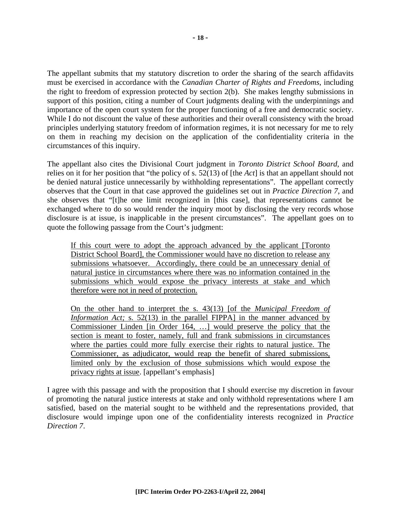The appellant submits that my statutory discretion to order the sharing of the search affidavits must be exercised in accordance with the *Canadian Charter of Rights and Freedoms*, including the right to freedom of expression protected by section 2(b). She makes lengthy submissions in support of this position, citing a number of Court judgments dealing with the underpinnings and importance of the open court system for the proper functioning of a free and democratic society. While I do not discount the value of these authorities and their overall consistency with the broad principles underlying statutory freedom of information regimes, it is not necessary for me to rely on them in reaching my decision on the application of the confidentiality criteria in the circumstances of this inquiry.

The appellant also cites the Divisional Court judgment in *Toronto District School Board*, and relies on it for her position that "the policy of s. 52(13) of [the *Act*] is that an appellant should not be denied natural justice unnecessarily by withholding representations". The appellant correctly observes that the Court in that case approved the guidelines set out in *Practice Direction 7*, and she observes that "[t]he one limit recognized in [this case], that representations cannot be exchanged where to do so would render the inquiry moot by disclosing the very records whose disclosure is at issue, is inapplicable in the present circumstances". The appellant goes on to quote the following passage from the Court's judgment:

If this court were to adopt the approach advanced by the applicant [Toronto District School Board], the Commissioner would have no discretion to release any submissions whatsoever. Accordingly, there could be an unnecessary denial of natural justice in circumstances where there was no information contained in the submissions which would expose the privacy interests at stake and which therefore were not in need of protection.

On the other hand to interpret the s. 43(13) [of the *Municipal Freedom of Information Act;* s. 52(13) in the parallel FIPPA] in the manner advanced by Commissioner Linden [in Order 164, …] would preserve the policy that the section is meant to foster, namely, full and frank submissions in circumstances where the parties could more fully exercise their rights to natural justice. The Commissioner, as adjudicator, would reap the benefit of shared submissions, limited only by the exclusion of those submissions which would expose the privacy rights at issue. [appellant's emphasis]

I agree with this passage and with the proposition that I should exercise my discretion in favour of promoting the natural justice interests at stake and only withhold representations where I am satisfied, based on the material sought to be withheld and the representations provided, that disclosure would impinge upon one of the confidentiality interests recognized in *Practice Direction 7*.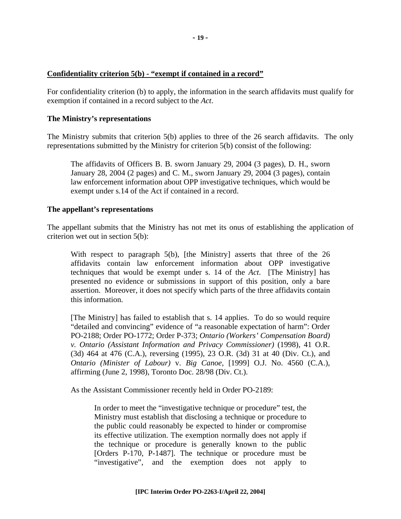## **Confidentiality criterion 5(b) - "exempt if contained in a record"**

For confidentiality criterion (b) to apply, the information in the search affidavits must qualify for exemption if contained in a record subject to the *Act*.

#### **The Ministry's representations**

The Ministry submits that criterion 5(b) applies to three of the 26 search affidavits. The only representations submitted by the Ministry for criterion 5(b) consist of the following:

The affidavits of Officers B. B. sworn January 29, 2004 (3 pages), D. H., sworn January 28, 2004 (2 pages) and C. M., sworn January 29, 2004 (3 pages), contain law enforcement information about OPP investigative techniques, which would be exempt under s.14 of the Act if contained in a record.

#### **The appellant's representations**

The appellant submits that the Ministry has not met its onus of establishing the application of criterion wet out in section 5(b):

With respect to paragraph 5(b), [the Ministry] asserts that three of the 26 affidavits contain law enforcement information about OPP investigative techniques that would be exempt under s. 14 of the *Act*. [The Ministry] has presented no evidence or submissions in support of this position, only a bare assertion. Moreover, it does not specify which parts of the three affidavits contain this information.

[The Ministry] has failed to establish that s. 14 applies. To do so would require "detailed and convincing" evidence of "a reasonable expectation of harm": Order PO-2188; Order PO-1772; Order P-373; *Ontario (Workers' Compensation Board) v. Ontario (Assistant Information and Privacy Commissioner)* (1998), 41 O.R. (3d) 464 at 476 (C.A.), reversing (1995), 23 O.R. (3d) 31 at 40 (Div. Ct.), and *Ontario (Minister of Labour)* v. *Big Canoe,* [1999] O.J. No. 4560 (C.A.), affirming (June 2, 1998), Toronto Doc. 28/98 (Div. Ct.).

As the Assistant Commissioner recently held in Order PO-2189:

In order to meet the "investigative technique or procedure" test, the Ministry must establish that disclosing a technique or procedure to the public could reasonably be expected to hinder or compromise its effective utilization. The exemption normally does not apply if the technique or procedure is generally known to the public [Orders P-170, P-1487]. The technique or procedure must be "investigative", and the exemption does not apply to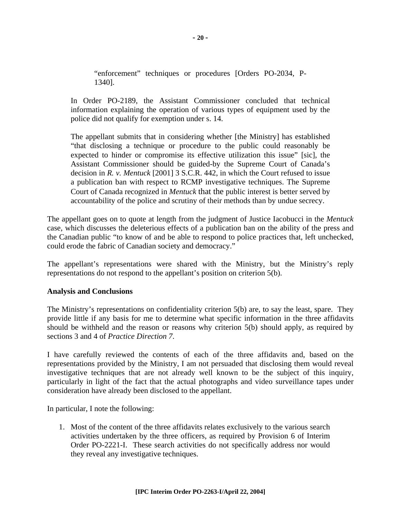"enforcement" techniques or procedures [Orders PO-2034, P-1340].

In Order PO-2189, the Assistant Commissioner concluded that technical information explaining the operation of various types of equipment used by the police did not qualify for exemption under s. 14.

The appellant submits that in considering whether [the Ministry] has established "that disclosing a technique or procedure to the public could reasonably be expected to hinder or compromise its effective utilization this issue" [sic], the Assistant Commissioner should be guided-by the Supreme Court of Canada's decision in *R. v. Mentuck* [2001] 3 S.C.R. 442, in which the Court refused to issue a publication ban with respect to RCMP investigative techniques. The Supreme Court of Canada recognized in *Mentuck* that the public interest is better served by accountability of the police and scrutiny of their methods than by undue secrecy.

The appellant goes on to quote at length from the judgment of Justice Iacobucci in the *Mentuck* case, which discusses the deleterious effects of a publication ban on the ability of the press and the Canadian public "to know of and be able to respond to police practices that, left unchecked, could erode the fabric of Canadian society and democracy."

The appellant's representations were shared with the Ministry, but the Ministry's reply representations do not respond to the appellant's position on criterion 5(b).

## **Analysis and Conclusions**

The Ministry's representations on confidentiality criterion 5(b) are, to say the least, spare. They provide little if any basis for me to determine what specific information in the three affidavits should be withheld and the reason or reasons why criterion 5(b) should apply, as required by sections 3 and 4 of *Practice Direction 7*.

I have carefully reviewed the contents of each of the three affidavits and, based on the representations provided by the Ministry, I am not persuaded that disclosing them would reveal investigative techniques that are not already well known to be the subject of this inquiry, particularly in light of the fact that the actual photographs and video surveillance tapes under consideration have already been disclosed to the appellant.

In particular, I note the following:

1. Most of the content of the three affidavits relates exclusively to the various search activities undertaken by the three officers, as required by Provision 6 of Interim Order PO-2221-I. These search activities do not specifically address nor would they reveal any investigative techniques.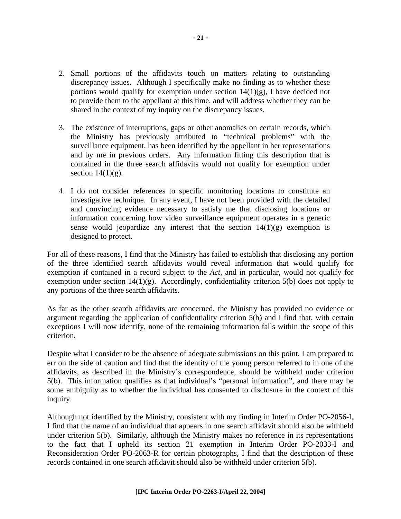- 2. Small portions of the affidavits touch on matters relating to outstanding discrepancy issues. Although I specifically make no finding as to whether these portions would qualify for exemption under section  $14(1)(g)$ , I have decided not to provide them to the appellant at this time, and will address whether they can be shared in the context of my inquiry on the discrepancy issues.
- 3. The existence of interruptions, gaps or other anomalies on certain records, which the Ministry has previously attributed to "technical problems" with the surveillance equipment, has been identified by the appellant in her representations and by me in previous orders. Any information fitting this description that is contained in the three search affidavits would not qualify for exemption under section  $14(1)(g)$ .
- 4. I do not consider references to specific monitoring locations to constitute an investigative technique. In any event, I have not been provided with the detailed and convincing evidence necessary to satisfy me that disclosing locations or information concerning how video surveillance equipment operates in a generic sense would jeopardize any interest that the section  $14(1)(g)$  exemption is designed to protect.

For all of these reasons, I find that the Ministry has failed to establish that disclosing any portion of the three identified search affidavits would reveal information that would qualify for exemption if contained in a record subject to the *Act*, and in particular, would not qualify for exemption under section  $14(1)(g)$ . Accordingly, confidentiality criterion  $5(b)$  does not apply to any portions of the three search affidavits.

As far as the other search affidavits are concerned, the Ministry has provided no evidence or argument regarding the application of confidentiality criterion 5(b) and I find that, with certain exceptions I will now identify, none of the remaining information falls within the scope of this criterion.

Despite what I consider to be the absence of adequate submissions on this point, I am prepared to err on the side of caution and find that the identity of the young person referred to in one of the affidavits, as described in the Ministry's correspondence, should be withheld under criterion 5(b). This information qualifies as that individual's "personal information", and there may be some ambiguity as to whether the individual has consented to disclosure in the context of this inquiry.

Although not identified by the Ministry, consistent with my finding in Interim Order PO-2056-I, I find that the name of an individual that appears in one search affidavit should also be withheld under criterion 5(b). Similarly, although the Ministry makes no reference in its representations to the fact that I upheld its section 21 exemption in Interim Order PO-2033-I and Reconsideration Order PO-2063-R for certain photographs, I find that the description of these records contained in one search affidavit should also be withheld under criterion 5(b).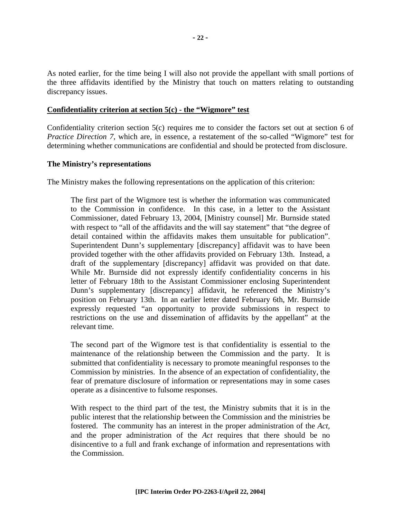As noted earlier, for the time being I will also not provide the appellant with small portions of the three affidavits identified by the Ministry that touch on matters relating to outstanding discrepancy issues.

## **Confidentiality criterion at section 5(c) - the "Wigmore" test**

Confidentiality criterion section 5(c) requires me to consider the factors set out at section 6 of *Practice Direction 7*, which are, in essence, a restatement of the so-called "Wigmore" test for determining whether communications are confidential and should be protected from disclosure.

#### **The Ministry's representations**

The Ministry makes the following representations on the application of this criterion:

The first part of the Wigmore test is whether the information was communicated to the Commission in confidence. In this case, in a letter to the Assistant Commissioner, dated February 13, 2004, [Ministry counsel] Mr. Burnside stated with respect to "all of the affidavits and the will say statement" that "the degree of detail contained within the affidavits makes them unsuitable for publication". Superintendent Dunn's supplementary [discrepancy] affidavit was to have been provided together with the other affidavits provided on February 13th. Instead, a draft of the supplementary [discrepancy] affidavit was provided on that date. While Mr. Burnside did not expressly identify confidentiality concerns in his letter of February 18th to the Assistant Commissioner enclosing Superintendent Dunn's supplementary [discrepancy] affidavit, he referenced the Ministry's position on February 13th. In an earlier letter dated February 6th, Mr. Burnside expressly requested "an opportunity to provide submissions in respect to restrictions on the use and dissemination of affidavits by the appellant" at the relevant time.

The second part of the Wigmore test is that confidentiality is essential to the maintenance of the relationship between the Commission and the party. It is submitted that confidentiality is necessary to promote meaningful responses to the Commission by ministries. In the absence of an expectation of confidentiality, the fear of premature disclosure of information or representations may in some cases operate as a disincentive to fulsome responses.

With respect to the third part of the test, the Ministry submits that it is in the public interest that the relationship between the Commission and the ministries be fostered. The community has an interest in the proper administration of the *Act,*  and the proper administration of the *Act* requires that there should be no disincentive to a full and frank exchange of information and representations with the Commission.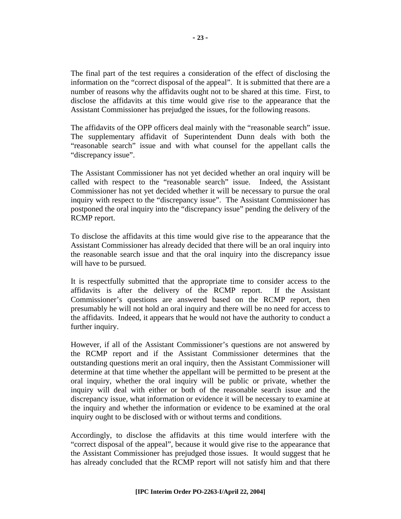The final part of the test requires a consideration of the effect of disclosing the information on the "correct disposal of the appeal". It is submitted that there are a number of reasons why the affidavits ought not to be shared at this time. First, to disclose the affidavits at this time would give rise to the appearance that the Assistant Commissioner has prejudged the issues, for the following reasons.

The affidavits of the OPP officers deal mainly with the "reasonable search" issue. The supplementary affidavit of Superintendent Dunn deals with both the "reasonable search" issue and with what counsel for the appellant calls the "discrepancy issue".

The Assistant Commissioner has not yet decided whether an oral inquiry will be called with respect to the "reasonable search" issue. Indeed, the Assistant Commissioner has not yet decided whether it will be necessary to pursue the oral inquiry with respect to the "discrepancy issue". The Assistant Commissioner has postponed the oral inquiry into the "discrepancy issue" pending the delivery of the RCMP report.

To disclose the affidavits at this time would give rise to the appearance that the Assistant Commissioner has already decided that there will be an oral inquiry into the reasonable search issue and that the oral inquiry into the discrepancy issue will have to be pursued.

It is respectfully submitted that the appropriate time to consider access to the affidavits is after the delivery of the RCMP report. If the Assistant Commissioner's questions are answered based on the RCMP report, then presumably he will not hold an oral inquiry and there will be no need for access to the affidavits. Indeed, it appears that he would not have the authority to conduct a further inquiry.

However, if all of the Assistant Commissioner's questions are not answered by the RCMP report and if the Assistant Commissioner determines that the outstanding questions merit an oral inquiry, then the Assistant Commissioner will determine at that time whether the appellant will be permitted to be present at the oral inquiry, whether the oral inquiry will be public or private, whether the inquiry will deal with either or both of the reasonable search issue and the discrepancy issue, what information or evidence it will be necessary to examine at the inquiry and whether the information or evidence to be examined at the oral inquiry ought to be disclosed with or without terms and conditions.

Accordingly, to disclose the affidavits at this time would interfere with the "correct disposal of the appeal", because it would give rise to the appearance that the Assistant Commissioner has prejudged those issues. It would suggest that he has already concluded that the RCMP report will not satisfy him and that there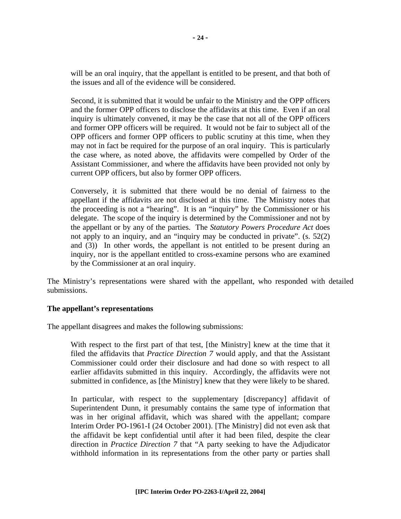will be an oral inquiry, that the appellant is entitled to be present, and that both of the issues and all of the evidence will be considered.

Second, it is submitted that it would be unfair to the Ministry and the OPP officers and the former OPP officers to disclose the affidavits at this time. Even if an oral inquiry is ultimately convened, it may be the case that not all of the OPP officers and former OPP officers will be required. It would not be fair to subject all of the OPP officers and former OPP officers to public scrutiny at this time, when they may not in fact be required for the purpose of an oral inquiry. This is particularly the case where, as noted above, the affidavits were compelled by Order of the Assistant Commissioner, and where the affidavits have been provided not only by current OPP officers, but also by former OPP officers.

Conversely, it is submitted that there would be no denial of fairness to the appellant if the affidavits are not disclosed at this time. The Ministry notes that the proceeding is not a "hearing". It is an "inquiry" by the Commissioner or his delegate. The scope of the inquiry is determined by the Commissioner and not by the appellant or by any of the parties. The *Statutory Powers Procedure Act* does not apply to an inquiry, and an "inquiry may be conducted in private". (s. 52(2) and (3)) In other words, the appellant is not entitled to be present during an inquiry, nor is the appellant entitled to cross-examine persons who are examined by the Commissioner at an oral inquiry.

The Ministry's representations were shared with the appellant, who responded with detailed submissions.

## **The appellant's representations**

The appellant disagrees and makes the following submissions:

With respect to the first part of that test, [the Ministry] knew at the time that it filed the affidavits that *Practice Direction 7* would apply, and that the Assistant Commissioner could order their disclosure and had done so with respect to all earlier affidavits submitted in this inquiry. Accordingly, the affidavits were not submitted in confidence, as [the Ministry] knew that they were likely to be shared.

In particular, with respect to the supplementary [discrepancy] affidavit of Superintendent Dunn, it presumably contains the same type of information that was in her original affidavit, which was shared with the appellant; compare Interim Order PO-1961-I (24 October 2001). [The Ministry] did not even ask that the affidavit be kept confidential until after it had been filed, despite the clear direction in *Practice Direction 7* that "A party seeking to have the Adjudicator withhold information in its representations from the other party or parties shall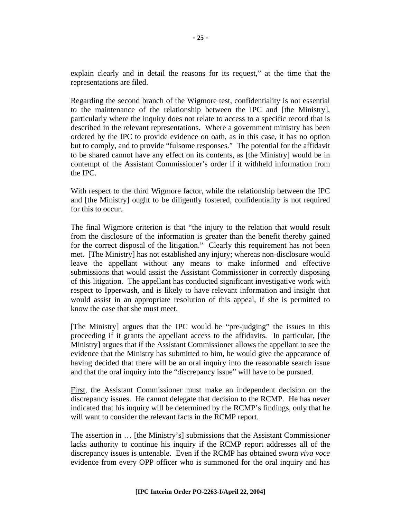explain clearly and in detail the reasons for its request," at the time that the representations are filed.

Regarding the second branch of the Wigmore test, confidentiality is not essential to the maintenance of the relationship between the IPC and [the Ministry], particularly where the inquiry does not relate to access to a specific record that is described in the relevant representations. Where a government ministry has been ordered by the IPC to provide evidence on oath, as in this case, it has no option but to comply, and to provide "fulsome responses." The potential for the affidavit to be shared cannot have any effect on its contents, as [the Ministry] would be in contempt of the Assistant Commissioner's order if it withheld information from the IPC.

With respect to the third Wigmore factor, while the relationship between the IPC and [the Ministry] ought to be diligently fostered, confidentiality is not required for this to occur.

The final Wigmore criterion is that "the injury to the relation that would result from the disclosure of the information is greater than the benefit thereby gained for the correct disposal of the litigation." Clearly this requirement has not been met. [The Ministry] has not established any injury; whereas non-disclosure would leave the appellant without any means to make informed and effective submissions that would assist the Assistant Commissioner in correctly disposing of this litigation. The appellant has conducted significant investigative work with respect to Ipperwash, and is likely to have relevant information and insight that would assist in an appropriate resolution of this appeal, if she is permitted to know the case that she must meet.

[The Ministry] argues that the IPC would be "pre-judging" the issues in this proceeding if it grants the appellant access to the affidavits. In particular, [the Ministry] argues that if the Assistant Commissioner allows the appellant to see the evidence that the Ministry has submitted to him, he would give the appearance of having decided that there will be an oral inquiry into the reasonable search issue and that the oral inquiry into the "discrepancy issue" will have to be pursued.

First, the Assistant Commissioner must make an independent decision on the discrepancy issues. He cannot delegate that decision to the RCMP. He has never indicated that his inquiry will be determined by the RCMP's findings, only that he will want to consider the relevant facts in the RCMP report.

The assertion in … [the Ministry's] submissions that the Assistant Commissioner lacks authority to continue his inquiry if the RCMP report addresses all of the discrepancy issues is untenable. Even if the RCMP has obtained sworn *viva voce*  evidence from every OPP officer who is summoned for the oral inquiry and has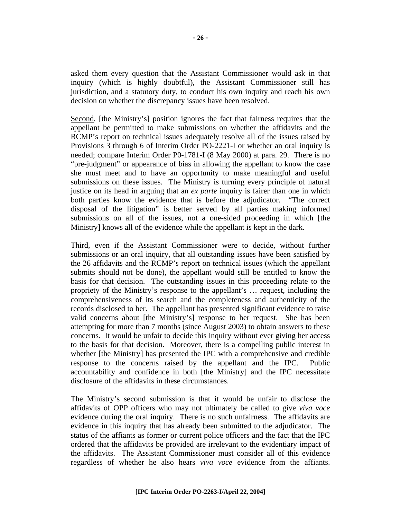asked them every question that the Assistant Commissioner would ask in that inquiry (which is highly doubtful), the Assistant Commissioner still has jurisdiction, and a statutory duty, to conduct his own inquiry and reach his own decision on whether the discrepancy issues have been resolved.

Second, [the Ministry's] position ignores the fact that fairness requires that the appellant be permitted to make submissions on whether the affidavits and the RCMP's report on technical issues adequately resolve all of the issues raised by Provisions 3 through 6 of Interim Order PO-2221-I or whether an oral inquiry is needed; compare Interim Order P0-1781-I (8 May 2000) at para. 29. There is no "pre-judgment" or appearance of bias in allowing the appellant to know the case she must meet and to have an opportunity to make meaningful and useful submissions on these issues. The Ministry is turning every principle of natural justice on its head in arguing that an *ex parte* inquiry is fairer than one in which both parties know the evidence that is before the adjudicator. "The correct disposal of the litigation" is better served by all parties making informed submissions on all of the issues, not a one-sided proceeding in which [the Ministry] knows all of the evidence while the appellant is kept in the dark.

Third, even if the Assistant Commissioner were to decide, without further submissions or an oral inquiry, that all outstanding issues have been satisfied by the 26 affidavits and the RCMP's report on technical issues (which the appellant submits should not be done), the appellant would still be entitled to know the basis for that decision. The outstanding issues in this proceeding relate to the propriety of the Ministry's response to the appellant's … request, including the comprehensiveness of its search and the completeness and authenticity of the records disclosed to her. The appellant has presented significant evidence to raise valid concerns about [the Ministry's] response to her request. She has been attempting for more than 7 months (since August 2003) to obtain answers to these concerns. It would be unfair to decide this inquiry without ever giving her access to the basis for that decision. Moreover, there is a compelling public interest in whether [the Ministry] has presented the IPC with a comprehensive and credible response to the concerns raised by the appellant and the IPC. Public accountability and confidence in both [the Ministry] and the IPC necessitate disclosure of the affidavits in these circumstances.

The Ministry's second submission is that it would be unfair to disclose the affidavits of OPP officers who may not ultimately be called to give *viva voce*  evidence during the oral inquiry. There is no such unfairness. The affidavits are evidence in this inquiry that has already been submitted to the adjudicator. The status of the affiants as former or current police officers and the fact that the IPC ordered that the affidavits be provided are irrelevant to the evidentiary impact of the affidavits. The Assistant Commissioner must consider all of this evidence regardless of whether he also hears *viva voce* evidence from the affiants.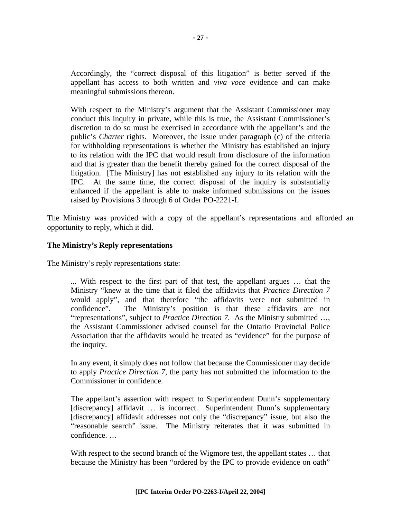Accordingly, the "correct disposal of this litigation" is better served if the appellant has access to both written and *viva voce* evidence and can make meaningful submissions thereon.

With respect to the Ministry's argument that the Assistant Commissioner may conduct this inquiry in private, while this is true, the Assistant Commissioner's discretion to do so must be exercised in accordance with the appellant's and the public's *Charter* rights. Moreover, the issue under paragraph (c) of the criteria for withholding representations is whether the Ministry has established an injury to its relation with the IPC that would result from disclosure of the information and that is greater than the benefit thereby gained for the correct disposal of the litigation. [The Ministry] has not established any injury to its relation with the IPC. At the same time, the correct disposal of the inquiry is substantially enhanced if the appellant is able to make informed submissions on the issues raised by Provisions 3 through 6 of Order PO-2221-I.

The Ministry was provided with a copy of the appellant's representations and afforded an opportunity to reply, which it did.

## **The Ministry's Reply representations**

The Ministry's reply representations state:

... With respect to the first part of that test, the appellant argues … that the Ministry "knew at the time that it filed the affidavits that *Practice Direction 7* would apply", and that therefore "the affidavits were not submitted in confidence". The Ministry's position is that these affidavits are not "representations", subject to *Practice Direction 7*. As the Ministry submitted …, the Assistant Commissioner advised counsel for the Ontario Provincial Police Association that the affidavits would be treated as "evidence" for the purpose of the inquiry.

In any event, it simply does not follow that because the Commissioner may decide to apply *Practice Direction 7*, the party has not submitted the information to the Commissioner in confidence.

The appellant's assertion with respect to Superintendent Dunn's supplementary [discrepancy] affidavit ... is incorrect. Superintendent Dunn's supplementary [discrepancy] affidavit addresses not only the "discrepancy" issue, but also the "reasonable search" issue. The Ministry reiterates that it was submitted in confidence. …

With respect to the second branch of the Wigmore test, the appellant states ... that because the Ministry has been "ordered by the IPC to provide evidence on oath"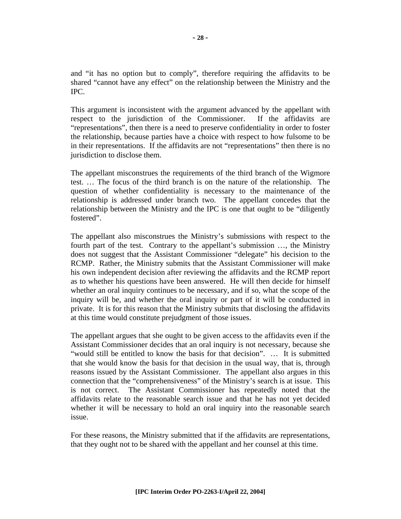and "it has no option but to comply", therefore requiring the affidavits to be shared "cannot have any effect" on the relationship between the Ministry and the IPC.

This argument is inconsistent with the argument advanced by the appellant with respect to the jurisdiction of the Commissioner. If the affidavits are "representations", then there is a need to preserve confidentiality in order to foster the relationship, because parties have a choice with respect to how fulsome to be in their representations. If the affidavits are not "representations" then there is no jurisdiction to disclose them.

The appellant misconstrues the requirements of the third branch of the Wigmore test. … The focus of the third branch is on the nature of the relationship. The question of whether confidentiality is necessary to the maintenance of the relationship is addressed under branch two. The appellant concedes that the relationship between the Ministry and the IPC is one that ought to be "diligently fostered".

The appellant also misconstrues the Ministry's submissions with respect to the fourth part of the test. Contrary to the appellant's submission …, the Ministry does not suggest that the Assistant Commissioner "delegate" his decision to the RCMP. Rather, the Ministry submits that the Assistant Commissioner will make his own independent decision after reviewing the affidavits and the RCMP report as to whether his questions have been answered. He will then decide for himself whether an oral inquiry continues to be necessary, and if so, what the scope of the inquiry will be, and whether the oral inquiry or part of it will be conducted in private. It is for this reason that the Ministry submits that disclosing the affidavits at this time would constitute prejudgment of those issues.

The appellant argues that she ought to be given access to the affidavits even if the Assistant Commissioner decides that an oral inquiry is not necessary, because she "would still be entitled to know the basis for that decision". … It is submitted that she would know the basis for that decision in the usual way, that is, through reasons issued by the Assistant Commissioner. The appellant also argues in this connection that the "comprehensiveness" of the Ministry's search is at issue. This is not correct. The Assistant Commissioner has repeatedly noted that the affidavits relate to the reasonable search issue and that he has not yet decided whether it will be necessary to hold an oral inquiry into the reasonable search issue.

For these reasons, the Ministry submitted that if the affidavits are representations, that they ought not to be shared with the appellant and her counsel at this time.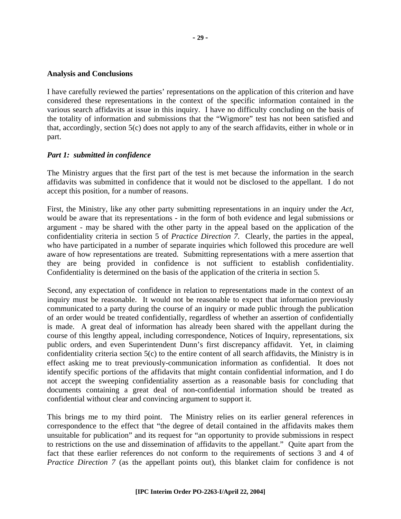#### **Analysis and Conclusions**

I have carefully reviewed the parties' representations on the application of this criterion and have considered these representations in the context of the specific information contained in the various search affidavits at issue in this inquiry. I have no difficulty concluding on the basis of the totality of information and submissions that the "Wigmore" test has not been satisfied and that, accordingly, section 5(c) does not apply to any of the search affidavits, either in whole or in part.

#### *Part 1: submitted in confidence*

The Ministry argues that the first part of the test is met because the information in the search affidavits was submitted in confidence that it would not be disclosed to the appellant. I do not accept this position, for a number of reasons.

First, the Ministry, like any other party submitting representations in an inquiry under the *Act*, would be aware that its representations - in the form of both evidence and legal submissions or argument - may be shared with the other party in the appeal based on the application of the confidentiality criteria in section 5 of *Practice Direction 7*. Clearly, the parties in the appeal, who have participated in a number of separate inquiries which followed this procedure are well aware of how representations are treated. Submitting representations with a mere assertion that they are being provided in confidence is not sufficient to establish confidentiality. Confidentiality is determined on the basis of the application of the criteria in section 5.

Second, any expectation of confidence in relation to representations made in the context of an inquiry must be reasonable. It would not be reasonable to expect that information previously communicated to a party during the course of an inquiry or made public through the publication of an order would be treated confidentially, regardless of whether an assertion of confidentially is made. A great deal of information has already been shared with the appellant during the course of this lengthy appeal, including correspondence, Notices of Inquiry, representations, six public orders, and even Superintendent Dunn's first discrepancy affidavit. Yet, in claiming confidentiality criteria section 5(c) to the entire content of all search affidavits, the Ministry is in effect asking me to treat previously-communication information as confidential. It does not identify specific portions of the affidavits that might contain confidential information, and I do not accept the sweeping confidentiality assertion as a reasonable basis for concluding that documents containing a great deal of non-confidential information should be treated as confidential without clear and convincing argument to support it.

This brings me to my third point. The Ministry relies on its earlier general references in correspondence to the effect that "the degree of detail contained in the affidavits makes them unsuitable for publication" and its request for "an opportunity to provide submissions in respect to restrictions on the use and dissemination of affidavits to the appellant." Quite apart from the fact that these earlier references do not conform to the requirements of sections 3 and 4 of *Practice Direction 7* (as the appellant points out), this blanket claim for confidence is not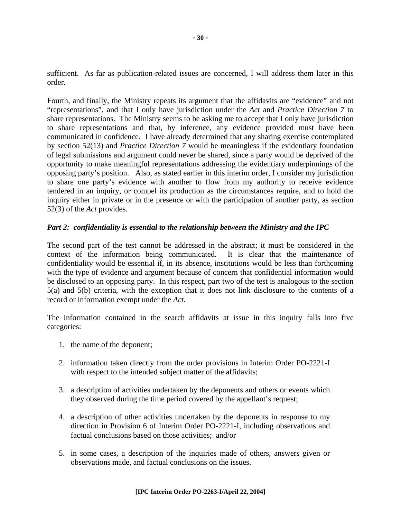sufficient. As far as publication-related issues are concerned, I will address them later in this order.

Fourth, and finally, the Ministry repeats its argument that the affidavits are "evidence" and not "representations", and that I only have jurisdiction under the *Act* and *Practice Direction 7* to share representations. The Ministry seems to be asking me to accept that I only have jurisdiction to share representations and that, by inference, any evidence provided must have been communicated in confidence. I have already determined that any sharing exercise contemplated by section 52(13) and *Practice Direction 7* would be meaningless if the evidentiary foundation of legal submissions and argument could never be shared, since a party would be deprived of the opportunity to make meaningful representations addressing the evidentiary underpinnings of the opposing party's position. Also, as stated earlier in this interim order, I consider my jurisdiction to share one party's evidence with another to flow from my authority to receive evidence tendered in an inquiry, or compel its production as the circumstances require, and to hold the inquiry either in private or in the presence or with the participation of another party, as section 52(3) of the *Act* provides.

## *Part 2: confidentiality is essential to the relationship between the Ministry and the IPC*

The second part of the test cannot be addressed in the abstract; it must be considered in the context of the information being communicated. It is clear that the maintenance of confidentiality would be essential if, in its absence, institutions would be less than forthcoming with the type of evidence and argument because of concern that confidential information would be disclosed to an opposing party. In this respect, part two of the test is analogous to the section 5(a) and 5(b) criteria, with the exception that it does not link disclosure to the contents of a record or information exempt under the *Act*.

The information contained in the search affidavits at issue in this inquiry falls into five categories:

- 1. the name of the deponent;
- 2. information taken directly from the order provisions in Interim Order PO-2221-I with respect to the intended subject matter of the affidavits;
- 3. a description of activities undertaken by the deponents and others or events which they observed during the time period covered by the appellant's request;
- 4. a description of other activities undertaken by the deponents in response to my direction in Provision 6 of Interim Order PO-2221-I, including observations and factual conclusions based on those activities; and/or
- 5. in some cases, a description of the inquiries made of others, answers given or observations made, and factual conclusions on the issues.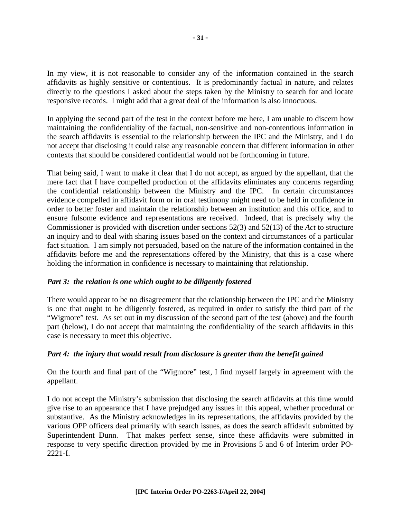In my view, it is not reasonable to consider any of the information contained in the search affidavits as highly sensitive or contentious. It is predominantly factual in nature, and relates directly to the questions I asked about the steps taken by the Ministry to search for and locate responsive records. I might add that a great deal of the information is also innocuous.

In applying the second part of the test in the context before me here, I am unable to discern how maintaining the confidentiality of the factual, non-sensitive and non-contentious information in the search affidavits is essential to the relationship between the IPC and the Ministry, and I do not accept that disclosing it could raise any reasonable concern that different information in other contexts that should be considered confidential would not be forthcoming in future.

That being said, I want to make it clear that I do not accept, as argued by the appellant, that the mere fact that I have compelled production of the affidavits eliminates any concerns regarding the confidential relationship between the Ministry and the IPC. In certain circumstances evidence compelled in affidavit form or in oral testimony might need to be held in confidence in order to better foster and maintain the relationship between an institution and this office, and to ensure fulsome evidence and representations are received. Indeed, that is precisely why the Commissioner is provided with discretion under sections 52(3) and 52(13) of the *Act* to structure an inquiry and to deal with sharing issues based on the context and circumstances of a particular fact situation. I am simply not persuaded, based on the nature of the information contained in the affidavits before me and the representations offered by the Ministry, that this is a case where holding the information in confidence is necessary to maintaining that relationship.

## *Part 3: the relation is one which ought to be diligently fostered*

There would appear to be no disagreement that the relationship between the IPC and the Ministry is one that ought to be diligently fostered, as required in order to satisfy the third part of the "Wigmore" test. As set out in my discussion of the second part of the test (above) and the fourth part (below), I do not accept that maintaining the confidentiality of the search affidavits in this case is necessary to meet this objective.

## *Part 4: the injury that would result from disclosure is greater than the benefit gained*

On the fourth and final part of the "Wigmore" test, I find myself largely in agreement with the appellant.

I do not accept the Ministry's submission that disclosing the search affidavits at this time would give rise to an appearance that I have prejudged any issues in this appeal, whether procedural or substantive. As the Ministry acknowledges in its representations, the affidavits provided by the various OPP officers deal primarily with search issues, as does the search affidavit submitted by Superintendent Dunn. That makes perfect sense, since these affidavits were submitted in response to very specific direction provided by me in Provisions 5 and 6 of Interim order PO-2221-I.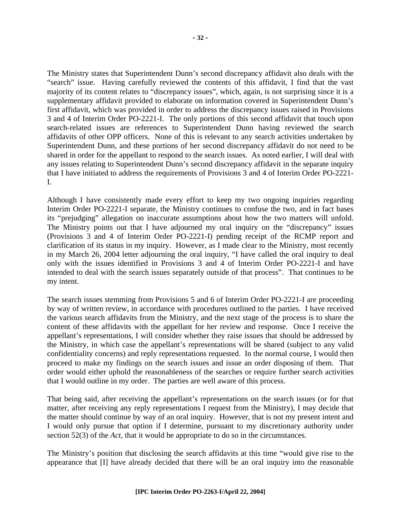**- 32 -** 

The Ministry states that Superintendent Dunn's second discrepancy affidavit also deals with the "search" issue. Having carefully reviewed the contents of this affidavit, I find that the vast majority of its content relates to "discrepancy issues", which, again, is not surprising since it is a supplementary affidavit provided to elaborate on information covered in Superintendent Dunn's first affidavit, which was provided in order to address the discrepancy issues raised in Provisions 3 and 4 of Interim Order PO-2221-I. The only portions of this second affidavit that touch upon search-related issues are references to Superintendent Dunn having reviewed the search affidavits of other OPP officers. None of this is relevant to any search activities undertaken by Superintendent Dunn, and these portions of her second discrepancy affidavit do not need to be shared in order for the appellant to respond to the search issues. As noted earlier, I will deal with any issues relating to Superintendent Dunn's second discrepancy affidavit in the separate inquiry that I have initiated to address the requirements of Provisions 3 and 4 of Interim Order PO-2221- I.

Although I have consistently made every effort to keep my two ongoing inquiries regarding Interim Order PO-2221-I separate, the Ministry continues to confuse the two, and in fact bases its "prejudging" allegation on inaccurate assumptions about how the two matters will unfold. The Ministry points out that I have adjourned my oral inquiry on the "discrepancy" issues (Provisions 3 and 4 of Interim Order PO-2221-I) pending receipt of the RCMP report and clarification of its status in my inquiry. However, as I made clear to the Ministry, most recently in my March 26, 2004 letter adjourning the oral inquiry, "I have called the oral inquiry to deal only with the issues identified in Provisions 3 and 4 of Interim Order PO-2221-I and have intended to deal with the search issues separately outside of that process". That continues to be my intent.

The search issues stemming from Provisions 5 and 6 of Interim Order PO-2221-I are proceeding by way of written review, in accordance with procedures outlined to the parties. I have received the various search affidavits from the Ministry, and the next stage of the process is to share the content of these affidavits with the appellant for her review and response. Once I receive the appellant's representations, I will consider whether they raise issues that should be addressed by the Ministry, in which case the appellant's representations will be shared (subject to any valid confidentiality concerns) and reply representations requested. In the normal course, I would then proceed to make my findings on the search issues and issue an order disposing of them. That order would either uphold the reasonableness of the searches or require further search activities that I would outline in my order. The parties are well aware of this process.

That being said, after receiving the appellant's representations on the search issues (or for that matter, after receiving any reply representations I request from the Ministry), I may decide that the matter should continue by way of an oral inquiry. However, that is not my present intent and I would only pursue that option if I determine, pursuant to my discretionary authority under section 52(3) of the *Act*, that it would be appropriate to do so in the circumstances.

The Ministry's position that disclosing the search affidavits at this time "would give rise to the appearance that [I] have already decided that there will be an oral inquiry into the reasonable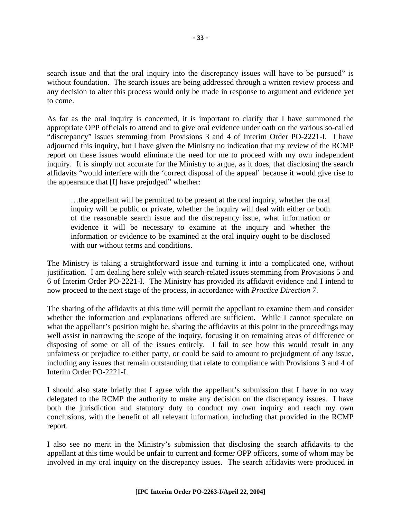search issue and that the oral inquiry into the discrepancy issues will have to be pursued" is without foundation. The search issues are being addressed through a written review process and any decision to alter this process would only be made in response to argument and evidence yet to come.

As far as the oral inquiry is concerned, it is important to clarify that I have summoned the appropriate OPP officials to attend and to give oral evidence under oath on the various so-called "discrepancy" issues stemming from Provisions 3 and 4 of Interim Order PO-2221-I. I have adjourned this inquiry, but I have given the Ministry no indication that my review of the RCMP report on these issues would eliminate the need for me to proceed with my own independent inquiry. It is simply not accurate for the Ministry to argue, as it does, that disclosing the search affidavits "would interfere with the 'correct disposal of the appeal' because it would give rise to the appearance that [I] have prejudged" whether:

…the appellant will be permitted to be present at the oral inquiry, whether the oral inquiry will be public or private, whether the inquiry will deal with either or both of the reasonable search issue and the discrepancy issue, what information or evidence it will be necessary to examine at the inquiry and whether the information or evidence to be examined at the oral inquiry ought to be disclosed with our without terms and conditions.

The Ministry is taking a straightforward issue and turning it into a complicated one, without justification. I am dealing here solely with search-related issues stemming from Provisions 5 and 6 of Interim Order PO-2221-I. The Ministry has provided its affidavit evidence and I intend to now proceed to the next stage of the process, in accordance with *Practice Direction 7*.

The sharing of the affidavits at this time will permit the appellant to examine them and consider whether the information and explanations offered are sufficient. While I cannot speculate on what the appellant's position might be, sharing the affidavits at this point in the proceedings may well assist in narrowing the scope of the inquiry, focusing it on remaining areas of difference or disposing of some or all of the issues entirely. I fail to see how this would result in any unfairness or prejudice to either party, or could be said to amount to prejudgment of any issue, including any issues that remain outstanding that relate to compliance with Provisions 3 and 4 of Interim Order PO-2221-I.

I should also state briefly that I agree with the appellant's submission that I have in no way delegated to the RCMP the authority to make any decision on the discrepancy issues. I have both the jurisdiction and statutory duty to conduct my own inquiry and reach my own conclusions, with the benefit of all relevant information, including that provided in the RCMP report.

I also see no merit in the Ministry's submission that disclosing the search affidavits to the appellant at this time would be unfair to current and former OPP officers, some of whom may be involved in my oral inquiry on the discrepancy issues. The search affidavits were produced in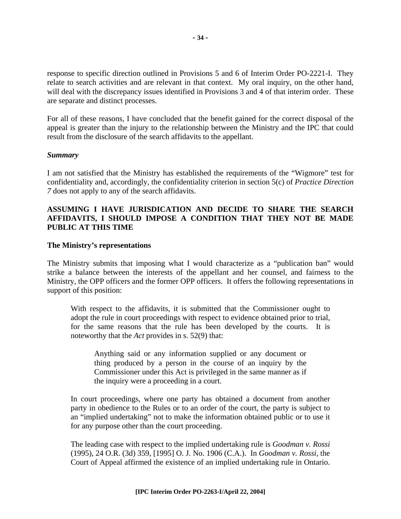response to specific direction outlined in Provisions 5 and 6 of Interim Order PO-2221-I. They relate to search activities and are relevant in that context. My oral inquiry, on the other hand, will deal with the discrepancy issues identified in Provisions 3 and 4 of that interim order. These are separate and distinct processes.

For all of these reasons, I have concluded that the benefit gained for the correct disposal of the appeal is greater than the injury to the relationship between the Ministry and the IPC that could result from the disclosure of the search affidavits to the appellant.

#### *Summary*

I am not satisfied that the Ministry has established the requirements of the "Wigmore" test for confidentiality and, accordingly, the confidentiality criterion in section 5(c) of *Practice Direction 7* does not apply to any of the search affidavits.

## **ASSUMING I HAVE JURISDICATION AND DECIDE TO SHARE THE SEARCH AFFIDAVITS, I SHOULD IMPOSE A CONDITION THAT THEY NOT BE MADE PUBLIC AT THIS TIME**

#### **The Ministry's representations**

The Ministry submits that imposing what I would characterize as a "publication ban" would strike a balance between the interests of the appellant and her counsel, and fairness to the Ministry, the OPP officers and the former OPP officers. It offers the following representations in support of this position:

With respect to the affidavits, it is submitted that the Commissioner ought to adopt the rule in court proceedings with respect to evidence obtained prior to trial, for the same reasons that the rule has been developed by the courts. It is noteworthy that the *Act* provides in s. 52(9) that:

Anything said or any information supplied or any document or thing produced by a person in the course of an inquiry by the Commissioner under this Act is privileged in the same manner as if the inquiry were a proceeding in a court.

In court proceedings, where one party has obtained a document from another party in obedience to the Rules or to an order of the court, the party is subject to an "implied undertaking" not to make the information obtained public or to use it for any purpose other than the court proceeding.

The leading case with respect to the implied undertaking rule is *Goodman v. Rossi* (1995), 24 O.R. (3d) 359, [1995] O. J. No. 1906 (C.A.). In *Goodman v. Rossi,* the Court of Appeal affirmed the existence of an implied undertaking rule in Ontario.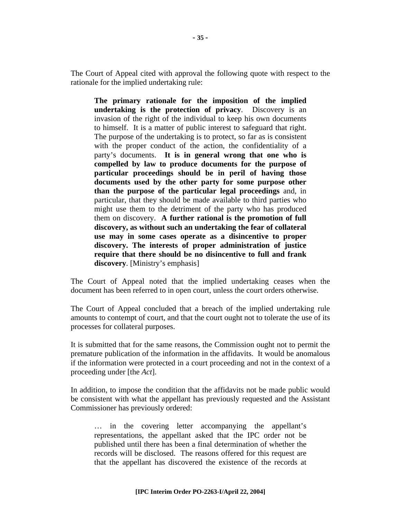The Court of Appeal cited with approval the following quote with respect to the rationale for the implied undertaking rule:

**The primary rationale for the imposition of the implied undertaking is the protection of privacy**. Discovery is an invasion of the right of the individual to keep his own documents to himself. It is a matter of public interest to safeguard that right. The purpose of the undertaking is to protect, so far as is consistent with the proper conduct of the action, the confidentiality of a party's documents. **It is in general wrong that one who is compelled by law to produce documents for the purpose of particular proceedings should be in peril of having those documents used by the other party for some purpose other than the purpose of the particular legal proceedings** and, in particular, that they should be made available to third parties who might use them to the detriment of the party who has produced them on discovery. **A further rational is the promotion of full discovery, as without such an undertaking the fear of collateral use may in some cases operate as a disincentive to proper discovery. The interests of proper administration of justice require that there should be no disincentive to full and frank discovery**. [Ministry's emphasis]

The Court of Appeal noted that the implied undertaking ceases when the document has been referred to in open court, unless the court orders otherwise.

The Court of Appeal concluded that a breach of the implied undertaking rule amounts to contempt of court, and that the court ought not to tolerate the use of its processes for collateral purposes.

It is submitted that for the same reasons, the Commission ought not to permit the premature publication of the information in the affidavits. It would be anomalous if the information were protected in a court proceeding and not in the context of a proceeding under [the *Act*].

In addition, to impose the condition that the affidavits not be made public would be consistent with what the appellant has previously requested and the Assistant Commissioner has previously ordered:

… in the covering letter accompanying the appellant's representations, the appellant asked that the IPC order not be published until there has been a final determination of whether the records will be disclosed. The reasons offered for this request are that the appellant has discovered the existence of the records at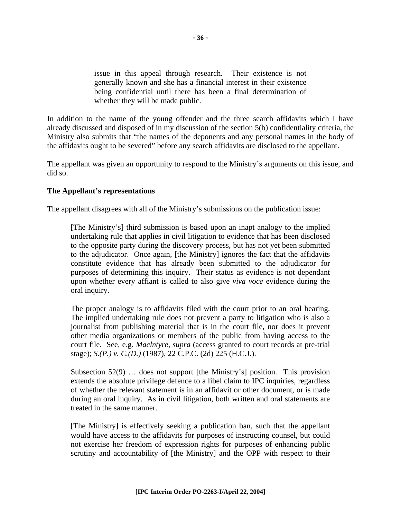issue in this appeal through research. Their existence is not generally known and she has a financial interest in their existence being confidential until there has been a final determination of whether they will be made public.

In addition to the name of the young offender and the three search affidavits which I have already discussed and disposed of in my discussion of the section 5(b) confidentiality criteria, the Ministry also submits that "the names of the deponents and any personal names in the body of the affidavits ought to be severed" before any search affidavits are disclosed to the appellant.

The appellant was given an opportunity to respond to the Ministry's arguments on this issue, and did so.

## **The Appellant's representations**

The appellant disagrees with all of the Ministry's submissions on the publication issue:

[The Ministry's] third submission is based upon an inapt analogy to the implied undertaking rule that applies in civil litigation to evidence that has been disclosed to the opposite party during the discovery process, but has not yet been submitted to the adjudicator. Once again, [the Ministry] ignores the fact that the affidavits constitute evidence that has already been submitted to the adjudicator for purposes of determining this inquiry. Their status as evidence is not dependant upon whether every affiant is called to also give *viva voce* evidence during the oral inquiry.

The proper analogy is to affidavits filed with the court prior to an oral hearing. The implied undertaking rule does not prevent a party to litigation who is also a journalist from publishing material that is in the court file, nor does it prevent other media organizations or members of the public from having access to the court file. See, e.g. *Maclntyre, supra* (access granted to court records at pre-trial stage); *S.(P.) v. C.(D.)* (1987), 22 C.P.C. (2d) 225 (H.C.J.).

Subsection 52(9) … does not support [the Ministry's] position. This provision extends the absolute privilege defence to a libel claim to IPC inquiries, regardless of whether the relevant statement is in an affidavit or other document, or is made during an oral inquiry. As in civil litigation, both written and oral statements are treated in the same manner.

[The Ministry] is effectively seeking a publication ban, such that the appellant would have access to the affidavits for purposes of instructing counsel, but could not exercise her freedom of expression rights for purposes of enhancing public scrutiny and accountability of [the Ministry] and the OPP with respect to their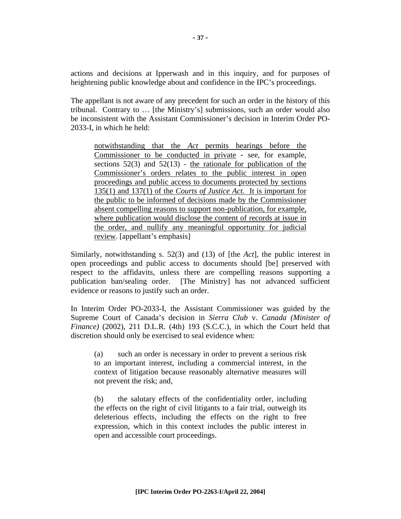actions and decisions at Ipperwash and in this inquiry, and for purposes of heightening public knowledge about and confidence in the IPC's proceedings.

The appellant is not aware of any precedent for such an order in the history of this tribunal. Contrary to … [the Ministry's] submissions, such an order would also be inconsistent with the Assistant Commissioner's decision in Interim Order PO-2033-I, in which he held:

notwithstanding that the *Act* permits hearings before the Commissioner to be conducted in private - see, for example, sections  $52(3)$  and  $52(13)$  - the rationale for publication of the Commissioner's orders relates to the public interest in open proceedings and public access to documents protected by sections 135(1) and 137(1) of the *Courts of Justice Act.* It is important for the public to be informed of decisions made by the Commissioner absent compelling reasons to support non-publication, for example, where publication would disclose the content of records at issue in the order, and nullify any meaningful opportunity for judicial review. [appellant's emphasis]

Similarly, notwithstanding s. 52(3) and (13) of [the *Act*], the public interest in open proceedings and public access to documents should [be] preserved with respect to the affidavits, unless there are compelling reasons supporting a publication ban/sealing order. [The Ministry] has not advanced sufficient evidence or reasons to justify such an order.

In Interim Order PO-2033-I, the Assistant Commissioner was guided by the Supreme Court of Canada's decision in *Sierra Club* v. *Canada (Minister of Finance*) (2002), 211 D.L.R. (4th) 193 (S.C.C.), in which the Court held that discretion should only be exercised to seal evidence when:

 (a) such an order is necessary in order to prevent a serious risk to an important interest, including a commercial interest, in the context of litigation because reasonably alternative measures will not prevent the risk; and,

 (b) the salutary effects of the confidentiality order, including the effects on the right of civil litigants to a fair trial, outweigh its deleterious effects, including the effects on the right to free expression, which in this context includes the public interest in open and accessible court proceedings.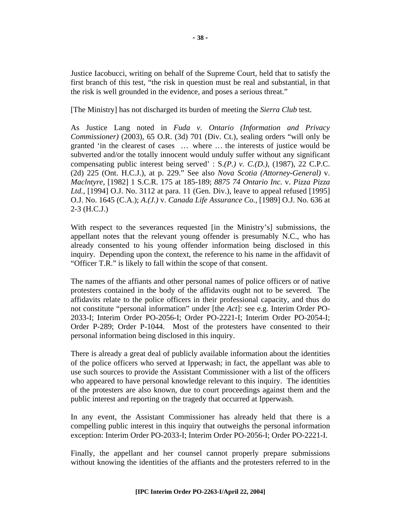Justice Iacobucci, writing on behalf of the Supreme Court, held that to satisfy the first branch of this test, "the risk in question must be real and substantial, in that the risk is well grounded in the evidence, and poses a serious threat."

[The Ministry] has not discharged its burden of meeting the *Sierra Club* test.

As Justice Lang noted in *Fuda v. Ontario (Information and Privacy Commissioner)* (2003), 65 O.R. (3d) 701 (Div. Ct.), sealing orders "will only be granted 'in the clearest of cases … . where …. the interests of justice would be subverted and/or the totally innocent would unduly suffer without any significant compensating public interest being served' : S.*(P.) v. C.(D.)*, (1987), 22 C.P.C. (2d) 225 (Ont. H.C.J.), at p. 229." See also *Nova Scotia (Attorney-General)* v. *Maclntyre,* [1982] 1 S.C.R. 175 at 185-189; *8875 74 Ontario Inc.* v. *Pizza Pizza Ltd.*, [1994] O.J. No. 3112 at para. 11 (Gen. Div.), leave to appeal refused [1995] O.J. No. 1645 (C.A.); *A.(J.)* v. *Canada Life Assurance Co.*, [1989] O.J. No. 636 at 2-3 (H.C.J.)

With respect to the severances requested [in the Ministry's] submissions, the appellant notes that the relevant young offender is presumably N.C., who has already consented to his young offender information being disclosed in this inquiry. Depending upon the context, the reference to his name in the affidavit of "Officer T.R." is likely to fall within the scope of that consent.

The names of the affiants and other personal names of police officers or of native protesters contained in the body of the affidavits ought not to be severed. The affidavits relate to the police officers in their professional capacity, and thus do not constitute "personal information" under [the *Act*]: see e.g. Interim Order PO-2033-I; Interim Order PO-2056-I; Order PO-2221-I; Interim Order PO-2054-I; Order P-289; Order P-1044. Most of the protesters have consented to their personal information being disclosed in this inquiry.

There is already a great deal of publicly available information about the identities of the police officers who served at Ipperwash; in fact, the appellant was able to use such sources to provide the Assistant Commissioner with a list of the officers who appeared to have personal knowledge relevant to this inquiry. The identities of the protesters are also known, due to court proceedings against them and the public interest and reporting on the tragedy that occurred at Ipperwash.

In any event, the Assistant Commissioner has already held that there is a compelling public interest in this inquiry that outweighs the personal information exception: Interim Order PO-2033-I; Interim Order PO-2056-I; Order PO-2221-I.

Finally, the appellant and her counsel cannot properly prepare submissions without knowing the identities of the affiants and the protesters referred to in the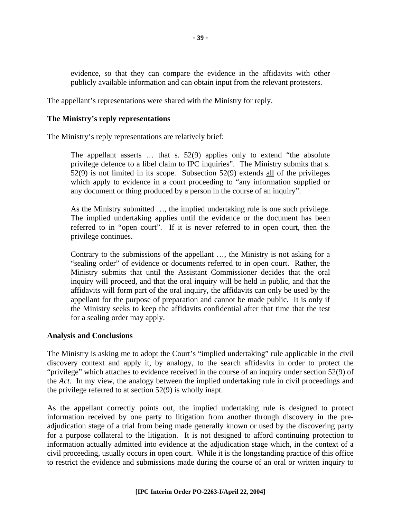evidence, so that they can compare the evidence in the affidavits with other publicly available information and can obtain input from the relevant protesters.

The appellant's representations were shared with the Ministry for reply.

#### **The Ministry's reply representations**

The Ministry's reply representations are relatively brief:

The appellant asserts … that s. 52(9) applies only to extend "the absolute privilege defence to a libel claim to IPC inquiries". The Ministry submits that s. 52(9) is not limited in its scope. Subsection 52(9) extends all of the privileges which apply to evidence in a court proceeding to "any information supplied or any document or thing produced by a person in the course of an inquiry".

As the Ministry submitted …, the implied undertaking rule is one such privilege. The implied undertaking applies until the evidence or the document has been referred to in "open court". If it is never referred to in open court, then the privilege continues.

Contrary to the submissions of the appellant …, the Ministry is not asking for a "sealing order" of evidence or documents referred to in open court. Rather, the Ministry submits that until the Assistant Commissioner decides that the oral inquiry will proceed, and that the oral inquiry will be held in public, and that the affidavits will form part of the oral inquiry, the affidavits can only be used by the appellant for the purpose of preparation and cannot be made public. It is only if the Ministry seeks to keep the affidavits confidential after that time that the test for a sealing order may apply.

## **Analysis and Conclusions**

The Ministry is asking me to adopt the Court's "implied undertaking" rule applicable in the civil discovery context and apply it, by analogy, to the search affidavits in order to protect the "privilege" which attaches to evidence received in the course of an inquiry under section 52(9) of the *Act*. In my view, the analogy between the implied undertaking rule in civil proceedings and the privilege referred to at section 52(9) is wholly inapt.

As the appellant correctly points out, the implied undertaking rule is designed to protect information received by one party to litigation from another through discovery in the preadjudication stage of a trial from being made generally known or used by the discovering party for a purpose collateral to the litigation. It is not designed to afford continuing protection to information actually admitted into evidence at the adjudication stage which, in the context of a civil proceeding, usually occurs in open court. While it is the longstanding practice of this office to restrict the evidence and submissions made during the course of an oral or written inquiry to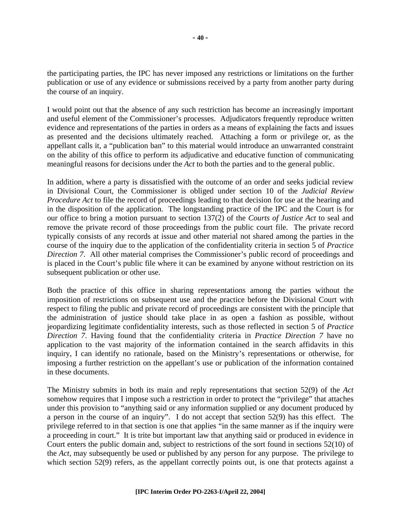the participating parties, the IPC has never imposed any restrictions or limitations on the further publication or use of any evidence or submissions received by a party from another party during the course of an inquiry.

I would point out that the absence of any such restriction has become an increasingly important and useful element of the Commissioner's processes. Adjudicators frequently reproduce written evidence and representations of the parties in orders as a means of explaining the facts and issues as presented and the decisions ultimately reached. Attaching a form or privilege or, as the appellant calls it, a "publication ban" to this material would introduce an unwarranted constraint on the ability of this office to perform its adjudicative and educative function of communicating meaningful reasons for decisions under the *Act* to both the parties and to the general public.

In addition, where a party is dissatisfied with the outcome of an order and seeks judicial review in Divisional Court, the Commissioner is obliged under section 10 of the *Judicial Review Procedure Act* to file the record of proceedings leading to that decision for use at the hearing and in the disposition of the application. The longstanding practice of the IPC and the Court is for our office to bring a motion pursuant to section 137(2) of the *Courts of Justice Act* to seal and remove the private record of those proceedings from the public court file. The private record typically consists of any records at issue and other material not shared among the parties in the course of the inquiry due to the application of the confidentiality criteria in section 5 of *Practice Direction 7*. All other material comprises the Commissioner's public record of proceedings and is placed in the Court's public file where it can be examined by anyone without restriction on its subsequent publication or other use.

Both the practice of this office in sharing representations among the parties without the imposition of restrictions on subsequent use and the practice before the Divisional Court with respect to filing the public and private record of proceedings are consistent with the principle that the administration of justice should take place in as open a fashion as possible, without jeopardizing legitimate confidentiality interests, such as those reflected in section 5 of *Practice Direction 7*. Having found that the confidentiality criteria in *Practice Direction 7* have no application to the vast majority of the information contained in the search affidavits in this inquiry, I can identify no rationale, based on the Ministry's representations or otherwise, for imposing a further restriction on the appellant's use or publication of the information contained in these documents.

The Ministry submits in both its main and reply representations that section 52(9) of the *Act* somehow requires that I impose such a restriction in order to protect the "privilege" that attaches under this provision to "anything said or any information supplied or any document produced by a person in the course of an inquiry". I do not accept that section 52(9) has this effect. The privilege referred to in that section is one that applies "in the same manner as if the inquiry were a proceeding in court." It is trite but important law that anything said or produced in evidence in Court enters the public domain and, subject to restrictions of the sort found in sections 52(10) of the *Act*, may subsequently be used or published by any person for any purpose. The privilege to which section 52(9) refers, as the appellant correctly points out, is one that protects against a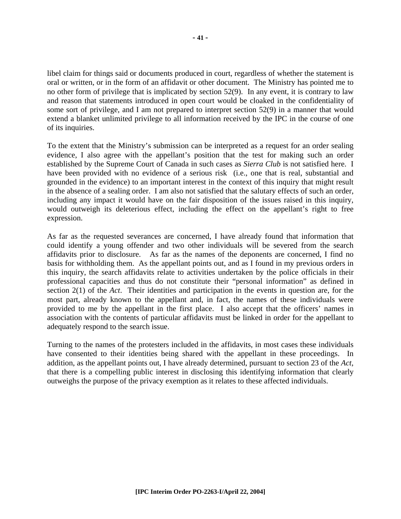libel claim for things said or documents produced in court, regardless of whether the statement is oral or written, or in the form of an affidavit or other document. The Ministry has pointed me to no other form of privilege that is implicated by section 52(9). In any event, it is contrary to law and reason that statements introduced in open court would be cloaked in the confidentiality of some sort of privilege, and I am not prepared to interpret section 52(9) in a manner that would extend a blanket unlimited privilege to all information received by the IPC in the course of one of its inquiries.

To the extent that the Ministry's submission can be interpreted as a request for an order sealing evidence, I also agree with the appellant's position that the test for making such an order established by the Supreme Court of Canada in such cases as *Sierra Club* is not satisfied here. I have been provided with no evidence of a serious risk (i.e., one that is real, substantial and grounded in the evidence) to an important interest in the context of this inquiry that might result in the absence of a sealing order. I am also not satisfied that the salutary effects of such an order, including any impact it would have on the fair disposition of the issues raised in this inquiry, would outweigh its deleterious effect, including the effect on the appellant's right to free expression.

As far as the requested severances are concerned, I have already found that information that could identify a young offender and two other individuals will be severed from the search affidavits prior to disclosure. As far as the names of the deponents are concerned, I find no basis for withholding them. As the appellant points out, and as I found in my previous orders in this inquiry, the search affidavits relate to activities undertaken by the police officials in their professional capacities and thus do not constitute their "personal information" as defined in section 2(1) of the *Act*. Their identities and participation in the events in question are, for the most part, already known to the appellant and, in fact, the names of these individuals were provided to me by the appellant in the first place. I also accept that the officers' names in association with the contents of particular affidavits must be linked in order for the appellant to adequately respond to the search issue.

Turning to the names of the protesters included in the affidavits, in most cases these individuals have consented to their identities being shared with the appellant in these proceedings. In addition, as the appellant points out, I have already determined, pursuant to section 23 of the *Act*, that there is a compelling public interest in disclosing this identifying information that clearly outweighs the purpose of the privacy exemption as it relates to these affected individuals.